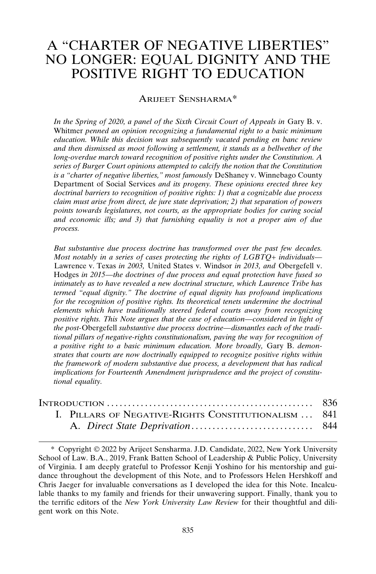# A "CHARTER OF NEGATIVE LIBERTIES" NO LONGER: EQUAL DIGNITY AND THE POSITIVE RIGHT TO EDUCATION

### ARIJEET SENSHARMA\*

*In the Spring of 2020, a panel of the Sixth Circuit Court of Appeals in Gary B. v.* Whitmer *penned an opinion recognizing a fundamental right to a basic minimum education. While this decision was subsequently vacated pending en banc review and then dismissed as moot following a settlement, it stands as a bellwether of the long-overdue march toward recognition of positive rights under the Constitution. A series of Burger Court opinions attempted to calcify the notion that the Constitution is a "charter of negative liberties," most famously* DeShaney v. Winnebago County Department of Social Services *and its progeny. These opinions erected three key doctrinal barriers to recognition of positive rights: 1) that a cognizable due process claim must arise from direct, de jure state deprivation; 2) that separation of powers points towards legislatures, not courts, as the appropriate bodies for curing social and economic ills; and 3) that furnishing equality is not a proper aim of due process.*

*But substantive due process doctrine has transformed over the past few decades. Most notably in a series of cases protecting the rights of LGBTQ+ individuals—* Lawrence v. Texas *in 2003,* United States v. Windsor *in 2013, and* Obergefell v. Hodges *in 2015—the doctrines of due process and equal protection have fused so intimately as to have revealed a new doctrinal structure, which Laurence Tribe has termed "equal dignity." The doctrine of equal dignity has profound implications for the recognition of positive rights. Its theoretical tenets undermine the doctrinal elements which have traditionally steered federal courts away from recognizing positive rights. This Note argues that the case of education—considered in light of the post-*Obergefell *substantive due process doctrine—dismantles each of the traditional pillars of negative-rights constitutionalism, paving the way for recognition of a positive right to a basic minimum education. More broadly,* Gary B. *demonstrates that courts are now doctrinally equipped to recognize positive rights within the framework of modern substantive due process, a development that has radical implications for Fourteenth Amendment jurisprudence and the project of constitutional equality.*

| INTRODUCTION $\ldots \ldots \ldots \ldots \ldots \ldots \ldots \ldots \ldots \ldots \ldots \ldots \ldots$ 836 |  |
|---------------------------------------------------------------------------------------------------------------|--|
| I. PILLARS OF NEGATIVE-RIGHTS CONSTITUTIONALISM  841                                                          |  |
|                                                                                                               |  |

<sup>\*</sup> Copyright 2022 by Arijeet Sensharma. J.D. Candidate, 2022, New York University School of Law. B.A., 2019, Frank Batten School of Leadership & Public Policy, University of Virginia. I am deeply grateful to Professor Kenji Yoshino for his mentorship and guidance throughout the development of this Note, and to Professors Helen Hershkoff and Chris Jaeger for invaluable conversations as I developed the idea for this Note. Incalculable thanks to my family and friends for their unwavering support. Finally, thank you to the terrific editors of the *New York University Law Review* for their thoughtful and diligent work on this Note.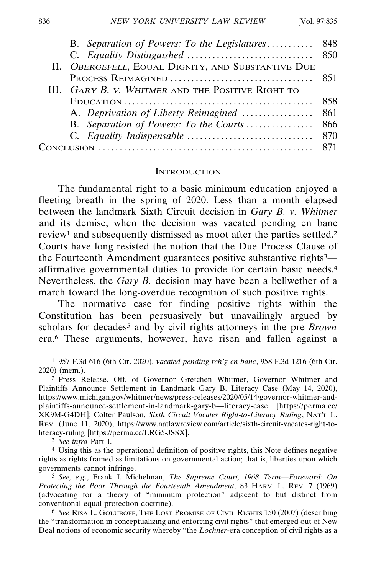| B. Separation of Powers: To the Legislatures 848   |  |
|----------------------------------------------------|--|
|                                                    |  |
| II. OBERGEFELL, EQUAL DIGNITY, AND SUBSTANTIVE DUE |  |
|                                                    |  |
| III. GARY B. V. WHITMER AND THE POSITIVE RIGHT TO  |  |
|                                                    |  |
|                                                    |  |
|                                                    |  |
|                                                    |  |
| ് വ                                                |  |
|                                                    |  |

#### **INTRODUCTION**

The fundamental right to a basic minimum education enjoyed a fleeting breath in the spring of 2020. Less than a month elapsed between the landmark Sixth Circuit decision in *Gary B. v. Whitmer* and its demise, when the decision was vacated pending en banc review<sup>1</sup> and subsequently dismissed as moot after the parties settled.<sup>2</sup> Courts have long resisted the notion that the Due Process Clause of the Fourteenth Amendment guarantees positive substantive rights<sup>3</sup> affirmative governmental duties to provide for certain basic needs.4 Nevertheless, the *Gary B.* decision may have been a bellwether of a march toward the long-overdue recognition of such positive rights.

The normative case for finding positive rights within the Constitution has been persuasively but unavailingly argued by scholars for decades<sup>5</sup> and by civil rights attorneys in the pre-*Brown* era.6 These arguments, however, have risen and fallen against a

3 *See infra* Part I.

<sup>1</sup> 957 F.3d 616 (6th Cir. 2020), *vacated pending reh'g en banc*, 958 F.3d 1216 (6th Cir. 2020) (mem.).

<sup>2</sup> Press Release, Off. of Governor Gretchen Whitmer, Governor Whitmer and Plaintiffs Announce Settlement in Landmark Gary B. Literacy Case (May 14, 2020), https://www.michigan.gov/whitmer/news/press-releases/2020/05/14/governor-whitmer-andplaintiffs-announce-settlement-in-landmark-gary-b—literacy-case [https://perma.cc/ XK9M-G4DH]; Colter Paulson, *Sixth Circuit Vacates Right-to-Literacy Ruling*, NAT'L L. REV. (June 11, 2020), https://www.natlawreview.com/article/sixth-circuit-vacates-right-toliteracy-ruling [https://perma.cc/LRG5-JSSX].

<sup>4</sup> Using this as the operational definition of positive rights, this Note defines negative rights as rights framed as limitations on governmental action; that is, liberties upon which governments cannot infringe.

<sup>5</sup> *See, e.g*., Frank I. Michelman, *The Supreme Court, 1968 Term—Foreword: On Protecting the Poor Through the Fourteenth Amendment*, 83 HARV. L. REV. 7 (1969) (advocating for a theory of "minimum protection" adjacent to but distinct from conventional equal protection doctrine).

<sup>6</sup> *See* RISA L. GOLUBOFF, THE LOST PROMISE OF CIVIL RIGHTS 150 (2007) (describing the "transformation in conceptualizing and enforcing civil rights" that emerged out of New Deal notions of economic security whereby "the *Lochner*-era conception of civil rights as a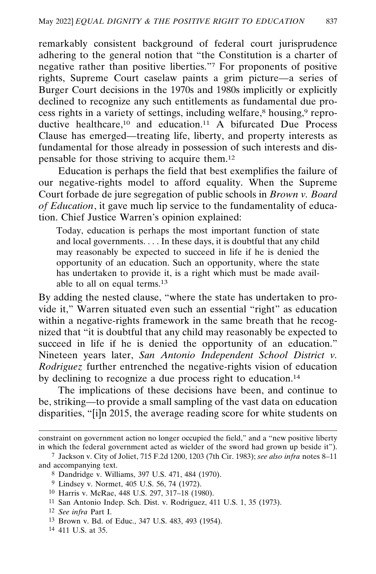remarkably consistent background of federal court jurisprudence adhering to the general notion that "the Constitution is a charter of negative rather than positive liberties."7 For proponents of positive rights, Supreme Court caselaw paints a grim picture—a series of Burger Court decisions in the 1970s and 1980s implicitly or explicitly declined to recognize any such entitlements as fundamental due process rights in a variety of settings, including welfare,<sup>8</sup> housing,<sup>9</sup> reproductive healthcare,<sup>10</sup> and education.<sup>11</sup> A bifurcated Due Process Clause has emerged—treating life, liberty, and property interests as fundamental for those already in possession of such interests and dispensable for those striving to acquire them.12

Education is perhaps the field that best exemplifies the failure of our negative-rights model to afford equality. When the Supreme Court forbade de jure segregation of public schools in *Brown v. Board of Education*, it gave much lip service to the fundamentality of education. Chief Justice Warren's opinion explained:

Today, education is perhaps the most important function of state and local governments. . . . In these days, it is doubtful that any child may reasonably be expected to succeed in life if he is denied the opportunity of an education. Such an opportunity, where the state has undertaken to provide it, is a right which must be made available to all on equal terms.13

By adding the nested clause, "where the state has undertaken to provide it," Warren situated even such an essential "right" as education within a negative-rights framework in the same breath that he recognized that "it is doubtful that any child may reasonably be expected to succeed in life if he is denied the opportunity of an education." Nineteen years later, *San Antonio Independent School District v. Rodriguez* further entrenched the negative-rights vision of education by declining to recognize a due process right to education.14

The implications of these decisions have been, and continue to be, striking—to provide a small sampling of the vast data on education disparities, "[i]n 2015, the average reading score for white students on

- 11 San Antonio Indep. Sch. Dist. v. Rodriguez, 411 U.S. 1, 35 (1973).
- 12 *See infra* Part I.
- 13 Brown v. Bd. of Educ., 347 U.S. 483, 493 (1954).
- 14 411 U.S. at 35.

constraint on government action no longer occupied the field," and a "new positive liberty in which the federal government acted as wielder of the sword had grown up beside it").

<sup>7</sup> Jackson v. City of Joliet, 715 F.2d 1200, 1203 (7th Cir. 1983); *see also infra* notes 8–11 and accompanying text.

<sup>8</sup> Dandridge v. Williams, 397 U.S. 471, 484 (1970).

<sup>9</sup> Lindsey v. Normet, 405 U.S. 56, 74 (1972).

<sup>10</sup> Harris v. McRae, 448 U.S. 297, 317–18 (1980).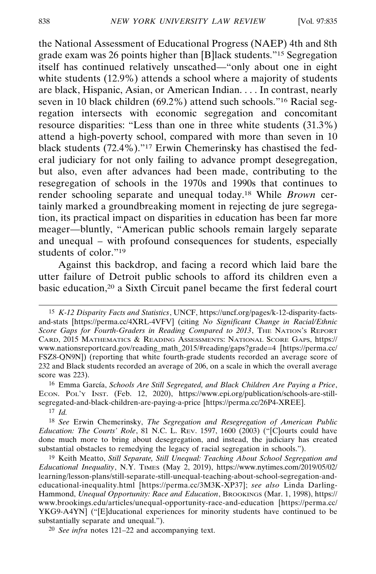the National Assessment of Educational Progress (NAEP) 4th and 8th grade exam was 26 points higher than [B]lack students."15 Segregation itself has continued relatively unscathed—"only about one in eight white students (12.9%) attends a school where a majority of students are black, Hispanic, Asian, or American Indian. . . . In contrast, nearly seven in 10 black children (69.2%) attend such schools."16 Racial segregation intersects with economic segregation and concomitant resource disparities: "Less than one in three white students (31.3%) attend a high-poverty school, compared with more than seven in 10 black students (72.4%)."17 Erwin Chemerinsky has chastised the federal judiciary for not only failing to advance prompt desegregation, but also, even after advances had been made, contributing to the resegregation of schools in the 1970s and 1990s that continues to render schooling separate and unequal today.18 While *Brown* certainly marked a groundbreaking moment in rejecting de jure segregation, its practical impact on disparities in education has been far more meager—bluntly, "American public schools remain largely separate and unequal – with profound consequences for students, especially students of color."<sup>19</sup>

Against this backdrop, and facing a record which laid bare the utter failure of Detroit public schools to afford its children even a basic education,<sup>20</sup> a Sixth Circuit panel became the first federal court

<sup>15</sup> *K-12 Disparity Facts and Statistics*, UNCF, https://uncf.org/pages/k-12-disparity-factsand-stats [https://perma.cc/4XRL-4VFV] (citing *No Significant Change in Racial/Ethnic Score Gaps for Fourth-Graders in Reading Compared to 2013*, THE NATION'S REPORT CARD, 2015 MATHEMATICS & READING ASSESSMENTS: NATIONAL SCORE GAPS, https:// www.nationsreportcard.gov/reading\_math\_2015/#reading/gaps?grade=4 [https://perma.cc/ FSZ8-QN9N]) (reporting that white fourth-grade students recorded an average score of 232 and Black students recorded an average of 206, on a scale in which the overall average score was 223).

<sup>&</sup>lt;sup>16</sup> Emma García, *Schools Are Still Segregated, and Black Children Are Paying a Price*, ECON. POL'Y INST. (Feb. 12, 2020), https://www.epi.org/publication/schools-are-stillsegregated-and-black-children-are-paying-a-price [https://perma.cc/26P4-XREE].

<sup>17</sup> *Id.*

<sup>18</sup> *See* Erwin Chemerinsky, *The Segregation and Resegregation of American Public Education: The Courts' Role*, 81 N.C. L. REV. 1597, 1600 (2003) ("[C]ourts could have done much more to bring about desegregation, and instead, the judiciary has created substantial obstacles to remedying the legacy of racial segregation in schools.").

<sup>19</sup> Keith Meatto, *Still Separate, Still Unequal: Teaching About School Segregation and Educational Inequality*, N.Y. TIMES (May 2, 2019), https://www.nytimes.com/2019/05/02/ learning/lesson-plans/still-separate-still-unequal-teaching-about-school-segregation-andeducational-inequality.html [https://perma.cc/3M3K-XP37]; *see also* Linda Darling-Hammond, *Unequal Opportunity: Race and Education*, BROOKINGS (Mar. 1, 1998), https:// www.brookings.edu/articles/unequal-opportunity-race-and-education [https://perma.cc/ YKG9-A4YN] ("[E]ducational experiences for minority students have continued to be substantially separate and unequal.").

<sup>20</sup> *See infra* notes 121–22 and accompanying text.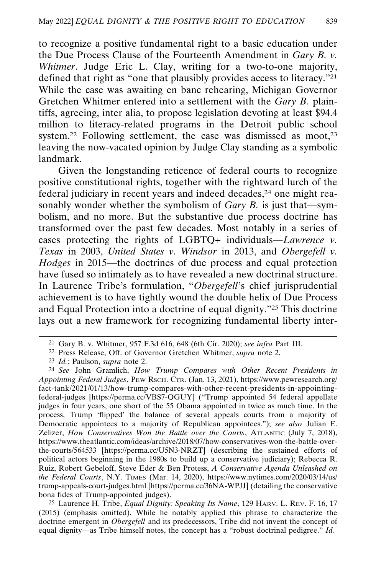to recognize a positive fundamental right to a basic education under the Due Process Clause of the Fourteenth Amendment in *Gary B. v. Whitmer*. Judge Eric L. Clay, writing for a two-to-one majority, defined that right as "one that plausibly provides access to literacy."21 While the case was awaiting en banc rehearing, Michigan Governor Gretchen Whitmer entered into a settlement with the *Gary B.* plaintiffs, agreeing, inter alia, to propose legislation devoting at least \$94.4 million to literacy-related programs in the Detroit public school system.<sup>22</sup> Following settlement, the case was dismissed as moot,<sup>23</sup> leaving the now-vacated opinion by Judge Clay standing as a symbolic landmark.

Given the longstanding reticence of federal courts to recognize positive constitutional rights, together with the rightward lurch of the federal judiciary in recent years and indeed decades,24 one might reasonably wonder whether the symbolism of *Gary B.* is just that—symbolism, and no more. But the substantive due process doctrine has transformed over the past few decades. Most notably in a series of cases protecting the rights of LGBTQ+ individuals—*Lawrence v. Texas* in 2003, *United States v. Windsor* in 2013, and *Obergefell v. Hodges* in 2015—the doctrines of due process and equal protection have fused so intimately as to have revealed a new doctrinal structure. In Laurence Tribe's formulation, "*Obergefell*'s chief jurisprudential achievement is to have tightly wound the double helix of Due Process and Equal Protection into a doctrine of equal dignity."25 This doctrine lays out a new framework for recognizing fundamental liberty inter-

<sup>21</sup> Gary B. v. Whitmer, 957 F.3d 616, 648 (6th Cir. 2020); *see infra* Part III.

<sup>22</sup> Press Release, Off. of Governor Gretchen Whitmer, *supra* note 2.

<sup>23</sup> *Id.*; Paulson, *supra* note 2.

<sup>24</sup> *See* John Gramlich, *How Trump Compares with Other Recent Presidents in Appointing Federal Judges*, PEW RSCH. CTR. (Jan. 13, 2021), https://www.pewresearch.org/ fact-tank/2021/01/13/how-trump-compares-with-other-recent-presidents-in-appointingfederal-judges [https://perma.cc/VBS7-QGUY] ("Trump appointed 54 federal appellate judges in four years, one short of the 55 Obama appointed in twice as much time. In the process, Trump 'flipped' the balance of several appeals courts from a majority of Democratic appointees to a majority of Republican appointees."); *see also* Julian E. Zelizer, *How Conservatives Won the Battle over the Courts*, ATLANTIC (July 7, 2018), https://www.theatlantic.com/ideas/archive/2018/07/how-conservatives-won-the-battle-overthe-courts/564533 [https://perma.cc/U5N3-NRZT] (describing the sustained efforts of political actors beginning in the 1980s to build up a conservative judiciary); Rebecca R. Ruiz, Robert Gebeloff, Steve Eder & Ben Protess, *A Conservative Agenda Unleashed on the Federal Courts*, N.Y. TIMES (Mar. 14, 2020), https://www.nytimes.com/2020/03/14/us/ trump-appeals-court-judges.html [https://perma.cc/36NA-WPJJ] (detailing the conservative bona fides of Trump-appointed judges).

<sup>25</sup> Laurence H. Tribe, *Equal Dignity: Speaking Its Name*, 129 HARV. L. REV. F. 16, 17 (2015) (emphasis omitted). While he notably applied this phrase to characterize the doctrine emergent in *Obergefell* and its predecessors, Tribe did not invent the concept of equal dignity—as Tribe himself notes, the concept has a "robust doctrinal pedigree." *Id.*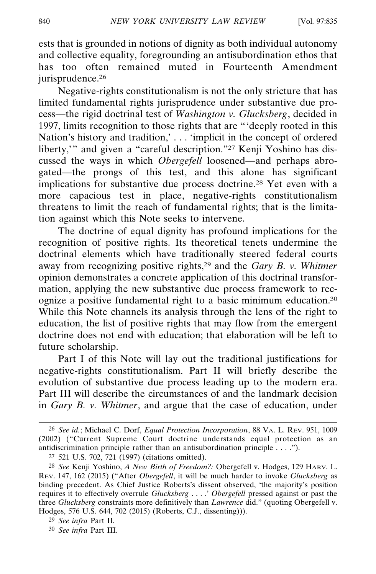ests that is grounded in notions of dignity as both individual autonomy and collective equality, foregrounding an antisubordination ethos that has too often remained muted in Fourteenth Amendment jurisprudence.<sup>26</sup>

Negative-rights constitutionalism is not the only stricture that has limited fundamental rights jurisprudence under substantive due process—the rigid doctrinal test of *Washington v. Glucksberg*, decided in 1997, limits recognition to those rights that are "'deeply rooted in this Nation's history and tradition,' . . . 'implicit in the concept of ordered liberty," and given a "careful description."<sup>27</sup> Kenji Yoshino has discussed the ways in which *Obergefell* loosened—and perhaps abrogated—the prongs of this test, and this alone has significant implications for substantive due process doctrine.28 Yet even with a more capacious test in place, negative-rights constitutionalism threatens to limit the reach of fundamental rights; that is the limitation against which this Note seeks to intervene.

The doctrine of equal dignity has profound implications for the recognition of positive rights. Its theoretical tenets undermine the doctrinal elements which have traditionally steered federal courts away from recognizing positive rights,29 and the *Gary B. v. Whitmer* opinion demonstrates a concrete application of this doctrinal transformation, applying the new substantive due process framework to recognize a positive fundamental right to a basic minimum education.30 While this Note channels its analysis through the lens of the right to education, the list of positive rights that may flow from the emergent doctrine does not end with education; that elaboration will be left to future scholarship.

Part I of this Note will lay out the traditional justifications for negative-rights constitutionalism. Part II will briefly describe the evolution of substantive due process leading up to the modern era. Part III will describe the circumstances of and the landmark decision in *Gary B. v. Whitmer*, and argue that the case of education, under

<sup>26</sup> *See id.*; Michael C. Dorf, *Equal Protection Incorporation*, 88 VA. L. REV. 951, 1009 (2002) ("Current Supreme Court doctrine understands equal protection as an antidiscrimination principle rather than an antisubordination principle . . . .").

<sup>27</sup> 521 U.S. 702, 721 (1997) (citations omitted).

<sup>28</sup> *See* Kenji Yoshino, *A New Birth of Freedom?:* Obergefell v. Hodges, 129 HARV. L. REV. 147, 162 (2015) ("After *Obergefell*, it will be much harder to invoke *Glucksberg* as binding precedent. As Chief Justice Roberts's dissent observed, 'the majority's position requires it to effectively overrule *Glucksberg* . . . .' *Obergefell* pressed against or past the three *Glucksberg* constraints more definitively than *Lawrence* did." (quoting Obergefell v. Hodges, 576 U.S. 644, 702 (2015) (Roberts, C.J., dissenting))).

<sup>29</sup> *See infra* Part II.

<sup>30</sup> *See infra* Part III.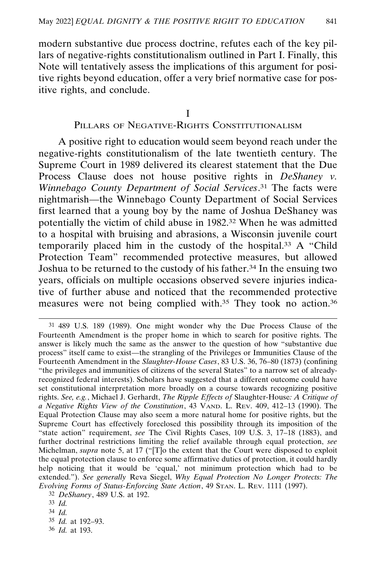modern substantive due process doctrine, refutes each of the key pillars of negative-rights constitutionalism outlined in Part I. Finally, this Note will tentatively assess the implications of this argument for positive rights beyond education, offer a very brief normative case for positive rights, and conclude.

I

### PILLARS OF NEGATIVE-RIGHTS CONSTITUTIONALISM

A positive right to education would seem beyond reach under the negative-rights constitutionalism of the late twentieth century. The Supreme Court in 1989 delivered its clearest statement that the Due Process Clause does not house positive rights in *DeShaney v. Winnebago County Department of Social Services*. 31 The facts were nightmarish—the Winnebago County Department of Social Services first learned that a young boy by the name of Joshua DeShaney was potentially the victim of child abuse in 1982.32 When he was admitted to a hospital with bruising and abrasions, a Wisconsin juvenile court temporarily placed him in the custody of the hospital.33 A "Child Protection Team" recommended protective measures, but allowed Joshua to be returned to the custody of his father.34 In the ensuing two years, officials on multiple occasions observed severe injuries indicative of further abuse and noticed that the recommended protective measures were not being complied with.<sup>35</sup> They took no action.<sup>36</sup>

36 *Id.* at 193.

<sup>31</sup> 489 U.S. 189 (1989). One might wonder why the Due Process Clause of the Fourteenth Amendment is the proper home in which to search for positive rights. The answer is likely much the same as the answer to the question of how "substantive due process" itself came to exist—the strangling of the Privileges or Immunities Clause of the Fourteenth Amendment in the *Slaughter-House Cases*, 83 U.S. 36, 76–80 (1873) (confining "the privileges and immunities of citizens of the several States" to a narrow set of alreadyrecognized federal interests). Scholars have suggested that a different outcome could have set constitutional interpretation more broadly on a course towards recognizing positive rights. *See, e.g.*, Michael J. Gerhardt, *The Ripple Effects of* Slaughter-House*: A Critique of a Negative Rights View of the Constitution*, 43 VAND. L. REV. 409, 412–13 (1990). The Equal Protection Clause may also seem a more natural home for positive rights, but the Supreme Court has effectively foreclosed this possibility through its imposition of the "state action" requirement, *see* The Civil Rights Cases, 109 U.S. 3, 17–18 (1883), and further doctrinal restrictions limiting the relief available through equal protection, *see* Michelman, *supra* note 5, at 17 ("[T]o the extent that the Court were disposed to exploit the equal protection clause to enforce some affirmative duties of protection, it could hardly help noticing that it would be 'equal,' not minimum protection which had to be extended."). *See generally* Reva Siegel, *Why Equal Protection No Longer Protects: The Evolving Forms of Status-Enforcing State Action*, 49 STAN. L. REV. 1111 (1997).

<sup>32</sup> *DeShaney*, 489 U.S. at 192.

<sup>33</sup> *Id.*

<sup>34</sup> *Id.*

<sup>35</sup> *Id.* at 192–93.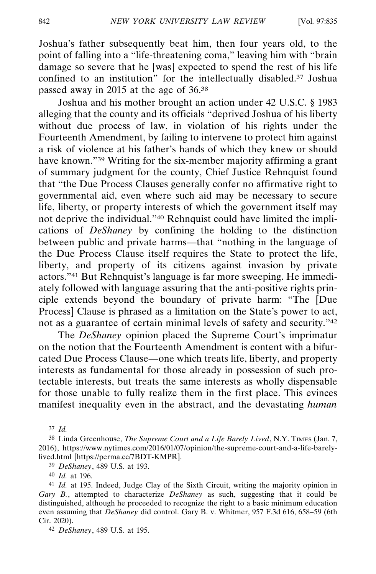Joshua's father subsequently beat him, then four years old, to the point of falling into a "life-threatening coma," leaving him with "brain damage so severe that he [was] expected to spend the rest of his life confined to an institution" for the intellectually disabled.37 Joshua passed away in 2015 at the age of 36.38

Joshua and his mother brought an action under 42 U.S.C. § 1983 alleging that the county and its officials "deprived Joshua of his liberty without due process of law, in violation of his rights under the Fourteenth Amendment, by failing to intervene to protect him against a risk of violence at his father's hands of which they knew or should have known."<sup>39</sup> Writing for the six-member majority affirming a grant of summary judgment for the county, Chief Justice Rehnquist found that "the Due Process Clauses generally confer no affirmative right to governmental aid, even where such aid may be necessary to secure life, liberty, or property interests of which the government itself may not deprive the individual."40 Rehnquist could have limited the implications of *DeShaney* by confining the holding to the distinction between public and private harms—that "nothing in the language of the Due Process Clause itself requires the State to protect the life, liberty, and property of its citizens against invasion by private actors."41 But Rehnquist's language is far more sweeping. He immediately followed with language assuring that the anti-positive rights principle extends beyond the boundary of private harm: "The [Due Process] Clause is phrased as a limitation on the State's power to act, not as a guarantee of certain minimal levels of safety and security."42

The *DeShaney* opinion placed the Supreme Court's imprimatur on the notion that the Fourteenth Amendment is content with a bifurcated Due Process Clause—one which treats life, liberty, and property interests as fundamental for those already in possession of such protectable interests, but treats the same interests as wholly dispensable for those unable to fully realize them in the first place. This evinces manifest inequality even in the abstract, and the devastating *human*

<sup>37</sup> *Id.*

<sup>38</sup> Linda Greenhouse, *The Supreme Court and a Life Barely Lived*, N.Y. TIMES (Jan. 7, 2016), https://www.nytimes.com/2016/01/07/opinion/the-supreme-court-and-a-life-barelylived.html [https://perma.cc/7BDT-KMPR].

<sup>39</sup> *DeShaney*, 489 U.S. at 193.

<sup>40</sup> *Id.* at 196.

<sup>41</sup> *Id.* at 195. Indeed, Judge Clay of the Sixth Circuit, writing the majority opinion in *Gary B.*, attempted to characterize *DeShaney* as such, suggesting that it could be distinguished, although he proceeded to recognize the right to a basic minimum education even assuming that *DeShaney* did control. Gary B. v. Whitmer, 957 F.3d 616, 658–59 (6th Cir. 2020).

<sup>42</sup> *DeShaney*, 489 U.S. at 195.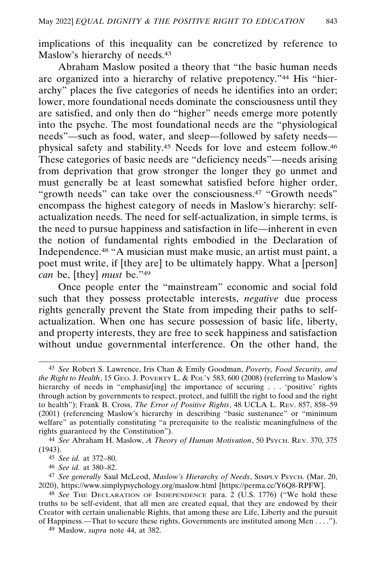implications of this inequality can be concretized by reference to Maslow's hierarchy of needs.<sup>43</sup>

Abraham Maslow posited a theory that "the basic human needs are organized into a hierarchy of relative prepotency."44 His "hierarchy" places the five categories of needs he identifies into an order; lower, more foundational needs dominate the consciousness until they are satisfied, and only then do "higher" needs emerge more potently into the psyche. The most foundational needs are the "physiological needs"—such as food, water, and sleep—followed by safety needs physical safety and stability.45 Needs for love and esteem follow.46 These categories of basic needs are "deficiency needs"—needs arising from deprivation that grow stronger the longer they go unmet and must generally be at least somewhat satisfied before higher order, "growth needs" can take over the consciousness.<sup>47</sup> "Growth needs" encompass the highest category of needs in Maslow's hierarchy: selfactualization needs. The need for self-actualization, in simple terms, is the need to pursue happiness and satisfaction in life—inherent in even the notion of fundamental rights embodied in the Declaration of Independence.48 "A musician must make music, an artist must paint, a poet must write, if [they are] to be ultimately happy. What a [person] *can* be, [they] *must* be."49

Once people enter the "mainstream" economic and social fold such that they possess protectable interests, *negative* due process rights generally prevent the State from impeding their paths to selfactualization. When one has secure possession of basic life, liberty, and property interests, they are free to seek happiness and satisfaction without undue governmental interference. On the other hand, the

49 Maslow, *supra* note 44, at 382.

<sup>43</sup> *See* Robert S. Lawrence, Iris Chan & Emily Goodman, *Poverty, Food Security, and the Right to Health*, 15 GEO. J. POVERTY L. & POL'Y 583, 600 (2008) (referring to Maslow's hierarchy of needs in "emphasiz[ing] the importance of securing . . . 'positive' rights through action by governments to respect, protect, and fulfill the right to food and the right to health"); Frank B. Cross, *The Error of Positive Rights*, 48 UCLA L. REV. 857, 858–59 (2001) (referencing Maslow's hierarchy in describing "basic sustenance" or "minimum welfare" as potentially constituting "a prerequisite to the realistic meaningfulness of the rights guaranteed by the Constitution").

<sup>44</sup> *See* Abraham H. Maslow, *A Theory of Human Motivation*, 50 PSYCH. REV. 370, 375 (1943).

<sup>45</sup> *See id.* at 372–80.

<sup>46</sup> *See id.* at 380–82.

<sup>47</sup> *See generally* Saul McLeod, *Maslow's Hierarchy of Needs*, SIMPLY PSYCH. (Mar. 20, 2020), https://www.simplypsychology.org/maslow.html [https://perma.cc/Y6Q8-RPFW].

<sup>48</sup> *See* THE DECLARATION OF INDEPENDENCE para. 2 (U.S. 1776) ("We hold these truths to be self-evident, that all men are created equal, that they are endowed by their Creator with certain unalienable Rights, that among these are Life, Liberty and the pursuit of Happiness.—That to secure these rights, Governments are instituted among Men . . . .").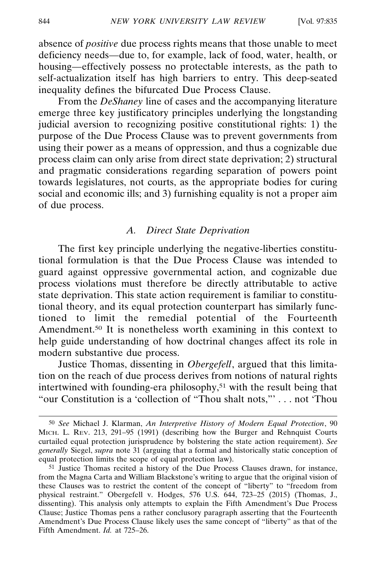absence of *positive* due process rights means that those unable to meet deficiency needs—due to, for example, lack of food, water, health, or housing—effectively possess no protectable interests, as the path to self-actualization itself has high barriers to entry. This deep-seated inequality defines the bifurcated Due Process Clause.

From the *DeShaney* line of cases and the accompanying literature emerge three key justificatory principles underlying the longstanding judicial aversion to recognizing positive constitutional rights: 1) the purpose of the Due Process Clause was to prevent governments from using their power as a means of oppression, and thus a cognizable due process claim can only arise from direct state deprivation; 2) structural and pragmatic considerations regarding separation of powers point towards legislatures, not courts, as the appropriate bodies for curing social and economic ills; and 3) furnishing equality is not a proper aim of due process.

### *A. Direct State Deprivation*

The first key principle underlying the negative-liberties constitutional formulation is that the Due Process Clause was intended to guard against oppressive governmental action, and cognizable due process violations must therefore be directly attributable to active state deprivation. This state action requirement is familiar to constitutional theory, and its equal protection counterpart has similarly functioned to limit the remedial potential of the Fourteenth Amendment.<sup>50</sup> It is nonetheless worth examining in this context to help guide understanding of how doctrinal changes affect its role in modern substantive due process.

Justice Thomas, dissenting in *Obergefell*, argued that this limitation on the reach of due process derives from notions of natural rights intertwined with founding-era philosophy, $51$  with the result being that "our Constitution is a 'collection of "Thou shalt nots,"' . . . not 'Thou

<sup>50</sup> *See* Michael J. Klarman, *An Interpretive History of Modern Equal Protection*, 90 MICH. L. REV. 213, 291–95 (1991) (describing how the Burger and Rehnquist Courts curtailed equal protection jurisprudence by bolstering the state action requirement). *See generally* Siegel, *supra* note 31 (arguing that a formal and historically static conception of equal protection limits the scope of equal protection law).

<sup>51</sup> Justice Thomas recited a history of the Due Process Clauses drawn, for instance, from the Magna Carta and William Blackstone's writing to argue that the original vision of these Clauses was to restrict the content of the concept of "liberty" to "freedom from physical restraint." Obergefell v. Hodges, 576 U.S. 644, 723–25 (2015) (Thomas, J., dissenting). This analysis only attempts to explain the Fifth Amendment's Due Process Clause; Justice Thomas pens a rather conclusory paragraph asserting that the Fourteenth Amendment's Due Process Clause likely uses the same concept of "liberty" as that of the Fifth Amendment. *Id.* at 725–26.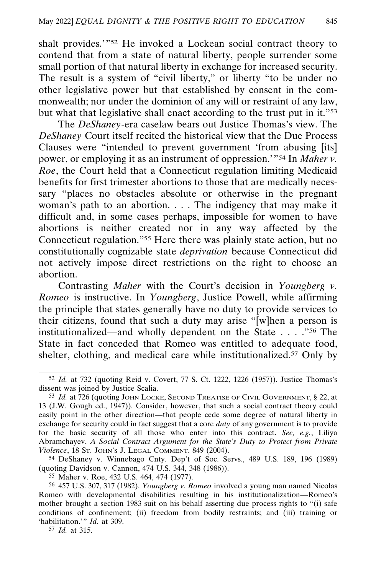shalt provides.'"52 He invoked a Lockean social contract theory to contend that from a state of natural liberty, people surrender some small portion of that natural liberty in exchange for increased security. The result is a system of "civil liberty," or liberty "to be under no other legislative power but that established by consent in the commonwealth; nor under the dominion of any will or restraint of any law, but what that legislative shall enact according to the trust put in it."53

The *DeShaney*-era caselaw bears out Justice Thomas's view. The *DeShaney* Court itself recited the historical view that the Due Process Clauses were "intended to prevent government 'from abusing [its] power, or employing it as an instrument of oppression.'"54 In *Maher v. Roe*, the Court held that a Connecticut regulation limiting Medicaid benefits for first trimester abortions to those that are medically necessary "places no obstacles absolute or otherwise in the pregnant woman's path to an abortion. . . . The indigency that may make it difficult and, in some cases perhaps, impossible for women to have abortions is neither created nor in any way affected by the Connecticut regulation."55 Here there was plainly state action, but no constitutionally cognizable state *deprivation* because Connecticut did not actively impose direct restrictions on the right to choose an abortion.

Contrasting *Maher* with the Court's decision in *Youngberg v. Romeo* is instructive. In *Youngberg*, Justice Powell, while affirming the principle that states generally have no duty to provide services to their citizens, found that such a duty may arise "[w]hen a person is institutionalized—and wholly dependent on the State . . . ."56 The State in fact conceded that Romeo was entitled to adequate food, shelter, clothing, and medical care while institutionalized.57 Only by

55 Maher v. Roe, 432 U.S. 464, 474 (1977).

57 *Id.* at 315.

<sup>52</sup> *Id.* at 732 (quoting Reid v. Covert, 77 S. Ct. 1222, 1226 (1957)). Justice Thomas's dissent was joined by Justice Scalia.

<sup>53</sup> *Id.* at 726 (quoting JOHN LOCKE, SECOND TREATISE OF CIVIL GOVERNMENT, § 22, at 13 (J.W. Gough ed., 1947)). Consider, however, that such a social contract theory could easily point in the other direction—that people cede some degree of natural liberty in exchange for security could in fact suggest that a core *duty* of any government is to provide for the basic security of all those who enter into this contract. *See, e.g.*, Liliya Abramchayev, *A Social Contract Argument for the State's Duty to Protect from Private Violence*, 18 ST. JOHN'S J. LEGAL COMMENT. 849 (2004).

<sup>54</sup> DeShaney v. Winnebago Cnty. Dep't of Soc. Servs., 489 U.S. 189, 196 (1989) (quoting Davidson v. Cannon, 474 U.S. 344, 348 (1986)).

<sup>56</sup> 457 U.S. 307, 317 (1982). *Youngberg v. Romeo* involved a young man named Nicolas Romeo with developmental disabilities resulting in his institutionalization—Romeo's mother brought a section 1983 suit on his behalf asserting due process rights to "(i) safe conditions of confinement; (ii) freedom from bodily restraints; and (iii) training or 'habilitation.'" *Id.* at 309.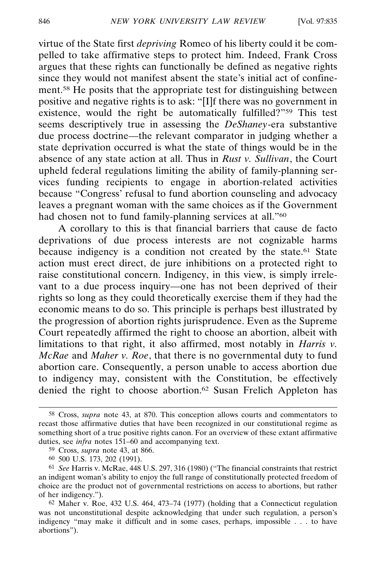virtue of the State first *depriving* Romeo of his liberty could it be compelled to take affirmative steps to protect him. Indeed, Frank Cross argues that these rights can functionally be defined as negative rights since they would not manifest absent the state's initial act of confinement.58 He posits that the appropriate test for distinguishing between positive and negative rights is to ask: "[I]f there was no government in existence, would the right be automatically fulfilled?"59 This test seems descriptively true in assessing the *DeShaney*-era substantive due process doctrine—the relevant comparator in judging whether a state deprivation occurred is what the state of things would be in the absence of any state action at all. Thus in *Rust v. Sullivan*, the Court upheld federal regulations limiting the ability of family-planning services funding recipients to engage in abortion-related activities because "Congress' refusal to fund abortion counseling and advocacy leaves a pregnant woman with the same choices as if the Government had chosen not to fund family-planning services at all."<sup>60</sup>

A corollary to this is that financial barriers that cause de facto deprivations of due process interests are not cognizable harms because indigency is a condition not created by the state.<sup>61</sup> State action must erect direct, de jure inhibitions on a protected right to raise constitutional concern. Indigency, in this view, is simply irrelevant to a due process inquiry—one has not been deprived of their rights so long as they could theoretically exercise them if they had the economic means to do so. This principle is perhaps best illustrated by the progression of abortion rights jurisprudence. Even as the Supreme Court repeatedly affirmed the right to choose an abortion, albeit with limitations to that right, it also affirmed, most notably in *Harris v. McRae* and *Maher v. Roe*, that there is no governmental duty to fund abortion care. Consequently, a person unable to access abortion due to indigency may, consistent with the Constitution, be effectively denied the right to choose abortion.62 Susan Frelich Appleton has

<sup>58</sup> Cross, *supra* note 43, at 870. This conception allows courts and commentators to recast those affirmative duties that have been recognized in our constitutional regime as something short of a true positive rights canon. For an overview of these extant affirmative duties, see *infra* notes 151–60 and accompanying text.

<sup>59</sup> Cross, *supra* note 43, at 866.

<sup>60</sup> 500 U.S. 173, 202 (1991).

<sup>61</sup> *See* Harris v. McRae, 448 U.S. 297, 316 (1980) ("The financial constraints that restrict an indigent woman's ability to enjoy the full range of constitutionally protected freedom of choice are the product not of governmental restrictions on access to abortions, but rather of her indigency.").

<sup>62</sup> Maher v. Roe, 432 U.S. 464, 473–74 (1977) (holding that a Connecticut regulation was not unconstitutional despite acknowledging that under such regulation, a person's indigency "may make it difficult and in some cases, perhaps, impossible . . . to have abortions").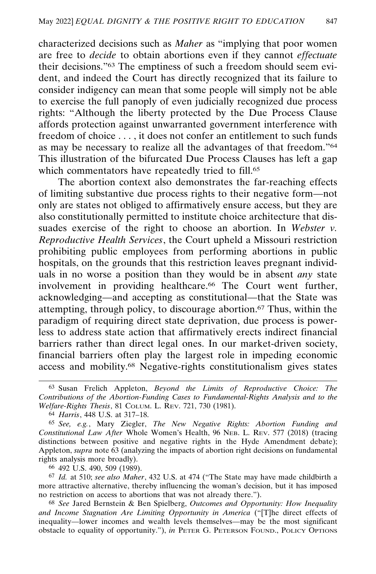characterized decisions such as *Maher* as "implying that poor women are free to *decide* to obtain abortions even if they cannot *effectuate* their decisions."63 The emptiness of such a freedom should seem evident, and indeed the Court has directly recognized that its failure to consider indigency can mean that some people will simply not be able to exercise the full panoply of even judicially recognized due process rights: "Although the liberty protected by the Due Process Clause affords protection against unwarranted government interference with freedom of choice . . . , it does not confer an entitlement to such funds as may be necessary to realize all the advantages of that freedom."64 This illustration of the bifurcated Due Process Clauses has left a gap which commentators have repeatedly tried to fill.<sup>65</sup>

The abortion context also demonstrates the far-reaching effects of limiting substantive due process rights to their negative form—not only are states not obliged to affirmatively ensure access, but they are also constitutionally permitted to institute choice architecture that dissuades exercise of the right to choose an abortion. In *Webster v. Reproductive Health Services*, the Court upheld a Missouri restriction prohibiting public employees from performing abortions in public hospitals, on the grounds that this restriction leaves pregnant individuals in no worse a position than they would be in absent *any* state involvement in providing healthcare.<sup>66</sup> The Court went further, acknowledging—and accepting as constitutional—that the State was attempting, through policy, to discourage abortion.67 Thus, within the paradigm of requiring direct state deprivation, due process is powerless to address state action that affirmatively erects indirect financial barriers rather than direct legal ones. In our market-driven society, financial barriers often play the largest role in impeding economic access and mobility.68 Negative-rights constitutionalism gives states

66 492 U.S. 490, 509 (1989).

67 *Id.* at 510; *see also Maher*, 432 U.S. at 474 ("The State may have made childbirth a more attractive alternative, thereby influencing the woman's decision, but it has imposed no restriction on access to abortions that was not already there.").

68 *See* Jared Bernstein & Ben Spielberg, *Outcomes and Opportunity: How Inequality and Income Stagnation Are Limiting Opportunity in America* ("[T]he direct effects of inequality—lower incomes and wealth levels themselves—may be the most significant obstacle to equality of opportunity."), *in* PETER G. PETERSON FOUND., POLICY OPTIONS

<sup>63</sup> Susan Frelich Appleton, *Beyond the Limits of Reproductive Choice: The Contributions of the Abortion-Funding Cases to Fundamental-Rights Analysis and to the Welfare-Rights Thesis*, 81 COLUM. L. REV. 721, 730 (1981).

<sup>64</sup> *Harris*, 448 U.S. at 317–18.

<sup>65</sup> *See, e.g.*, Mary Ziegler, *The New Negative Rights: Abortion Funding and Constitutional Law After* Whole Women's Health, 96 NEB. L. REV. 577 (2018) (tracing distinctions between positive and negative rights in the Hyde Amendment debate); Appleton, *supra* note 63 (analyzing the impacts of abortion right decisions on fundamental rights analysis more broadly).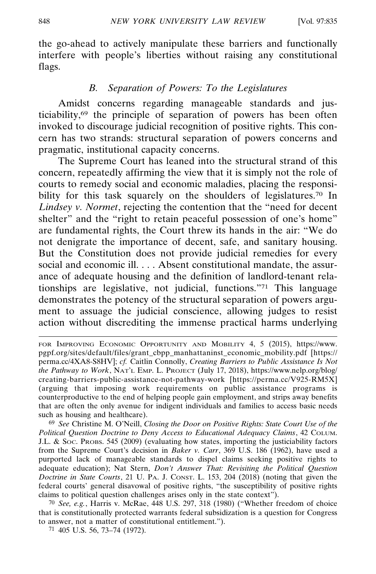the go-ahead to actively manipulate these barriers and functionally interfere with people's liberties without raising any constitutional flags.

### *B. Separation of Powers: To the Legislatures*

Amidst concerns regarding manageable standards and justiciability,69 the principle of separation of powers has been often invoked to discourage judicial recognition of positive rights. This concern has two strands: structural separation of powers concerns and pragmatic, institutional capacity concerns.

The Supreme Court has leaned into the structural strand of this concern, repeatedly affirming the view that it is simply not the role of courts to remedy social and economic maladies, placing the responsibility for this task squarely on the shoulders of legislatures.<sup>70</sup> In *Lindsey v. Normet*, rejecting the contention that the "need for decent shelter" and the "right to retain peaceful possession of one's home" are fundamental rights, the Court threw its hands in the air: "We do not denigrate the importance of decent, safe, and sanitary housing. But the Constitution does not provide judicial remedies for every social and economic ill. . . . Absent constitutional mandate, the assurance of adequate housing and the definition of landlord-tenant relationships are legislative, not judicial, functions."71 This language demonstrates the potency of the structural separation of powers argument to assuage the judicial conscience, allowing judges to resist action without discrediting the immense practical harms underlying

69 *See* Christine M. O'Neill, *Closing the Door on Positive Rights: State Court Use of the Political Question Doctrine to Deny Access to Educational Adequacy Claims*, 42 COLUM. J.L. & SOC. PROBS. 545 (2009) (evaluating how states, importing the justiciability factors from the Supreme Court's decision in *Baker v. Carr*, 369 U.S. 186 (1962), have used a purported lack of manageable standards to dispel claims seeking positive rights to adequate education); Nat Stern, *Don't Answer That: Revisiting the Political Question Doctrine in State Courts*, 21 U. PA. J. CONST. L. 153, 204 (2018) (noting that given the federal courts' general disavowal of positive rights, "the susceptibility of positive rights claims to political question challenges arises only in the state context").

70 *See, e.g.*, Harris v. McRae, 448 U.S. 297, 318 (1980) ("Whether freedom of choice that is constitutionally protected warrants federal subsidization is a question for Congress to answer, not a matter of constitutional entitlement.").

71 405 U.S. 56, 73–74 (1972).

FOR IMPROVING ECONOMIC OPPORTUNITY AND MOBILITY 4, 5 (2015), https://www. pgpf.org/sites/default/files/grant\_cbpp\_manhattaninst\_economic\_mobility.pdf [https:// perma.cc/4XA8-S8HV]; *cf.* Caitlin Connolly, *Creating Barriers to Public Assistance Is Not the Pathway to Work*, NAT'L EMP. L. PROJECT (July 17, 2018), https://www.nelp.org/blog/ creating-barriers-public-assistance-not-pathway-work [https://perma.cc/V925-RM5X] (arguing that imposing work requirements on public assistance programs is counterproductive to the end of helping people gain employment, and strips away benefits that are often the only avenue for indigent individuals and families to access basic needs such as housing and healthcare).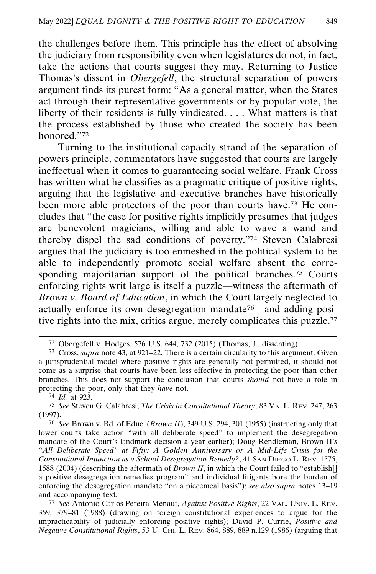the challenges before them. This principle has the effect of absolving the judiciary from responsibility even when legislatures do not, in fact, take the actions that courts suggest they may. Returning to Justice Thomas's dissent in *Obergefell*, the structural separation of powers argument finds its purest form: "As a general matter, when the States act through their representative governments or by popular vote, the liberty of their residents is fully vindicated. . . . What matters is that the process established by those who created the society has been honored."72

Turning to the institutional capacity strand of the separation of powers principle, commentators have suggested that courts are largely ineffectual when it comes to guaranteeing social welfare. Frank Cross has written what he classifies as a pragmatic critique of positive rights, arguing that the legislative and executive branches have historically been more able protectors of the poor than courts have.73 He concludes that "the case for positive rights implicitly presumes that judges are benevolent magicians, willing and able to wave a wand and thereby dispel the sad conditions of poverty."74 Steven Calabresi argues that the judiciary is too enmeshed in the political system to be able to independently promote social welfare absent the corresponding majoritarian support of the political branches.<sup>75</sup> Courts enforcing rights writ large is itself a puzzle—witness the aftermath of *Brown v. Board of Education*, in which the Court largely neglected to actually enforce its own desegregation mandate76—and adding positive rights into the mix, critics argue, merely complicates this puzzle.<sup>77</sup>

77 *See* Antonio Carlos Pereira-Menaut, *Against Positive Rights*, 22 VAL. UNIV. L. REV. 359, 379–81 (1988) (drawing on foreign constitutional experiences to argue for the impracticability of judicially enforcing positive rights); David P. Currie, *Positive and Negative Constitutional Rights*, 53 U. CHI. L. REV. 864, 889, 889 n.129 (1986) (arguing that

<sup>72</sup> Obergefell v. Hodges, 576 U.S. 644, 732 (2015) (Thomas, J., dissenting).

<sup>73</sup> Cross, *supra* note 43, at 921–22. There is a certain circularity to this argument. Given a jurisprudential model where positive rights are generally not permitted, it should not come as a surprise that courts have been less effective in protecting the poor than other branches. This does not support the conclusion that courts *should* not have a role in protecting the poor, only that they *have* not.

<sup>74</sup> *Id.* at 923.

<sup>75</sup> *See* Steven G. Calabresi, *The Crisis in Constitutional Theory*, 83 VA. L. REV. 247, 263 (1997).

<sup>76</sup> *See* Brown v. Bd. of Educ. (*Brown II*), 349 U.S. 294, 301 (1955) (instructing only that lower courts take action "with all deliberate speed" to implement the desegregation mandate of the Court's landmark decision a year earlier); Doug Rendleman, Brown II*'s "All Deliberate Speed" at Fifty: A Golden Anniversary or A Mid-Life Crisis for the Constitutional Injunction as a School Desegregation Remedy?*, 41 SAN DIEGO L. REV. 1575, 1588 (2004) (describing the aftermath of *Brown II*, in which the Court failed to "establish[] a positive desegregation remedies program" and individual litigants bore the burden of enforcing the desegregation mandate "on a piecemeal basis"); *see also supra* notes 13–19 and accompanying text.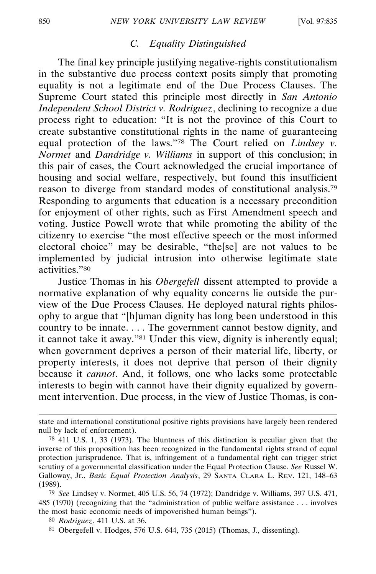# *C. Equality Distinguished*

The final key principle justifying negative-rights constitutionalism in the substantive due process context posits simply that promoting equality is not a legitimate end of the Due Process Clauses. The Supreme Court stated this principle most directly in *San Antonio Independent School District v. Rodriguez*, declining to recognize a due process right to education: "It is not the province of this Court to create substantive constitutional rights in the name of guaranteeing equal protection of the laws."78 The Court relied on *Lindsey v. Normet* and *Dandridge v. Williams* in support of this conclusion; in this pair of cases, the Court acknowledged the crucial importance of housing and social welfare, respectively, but found this insufficient reason to diverge from standard modes of constitutional analysis.79 Responding to arguments that education is a necessary precondition for enjoyment of other rights, such as First Amendment speech and voting, Justice Powell wrote that while promoting the ability of the citizenry to exercise "the most effective speech or the most informed electoral choice" may be desirable, "the[se] are not values to be implemented by judicial intrusion into otherwise legitimate state activities."80

Justice Thomas in his *Obergefell* dissent attempted to provide a normative explanation of why equality concerns lie outside the purview of the Due Process Clauses. He deployed natural rights philosophy to argue that "[h]uman dignity has long been understood in this country to be innate. . . . The government cannot bestow dignity, and it cannot take it away."81 Under this view, dignity is inherently equal; when government deprives a person of their material life, liberty, or property interests, it does not deprive that person of their dignity because it *cannot*. And, it follows, one who lacks some protectable interests to begin with cannot have their dignity equalized by government intervention. Due process, in the view of Justice Thomas, is con-

81 Obergefell v. Hodges, 576 U.S. 644, 735 (2015) (Thomas, J., dissenting).

state and international constitutional positive rights provisions have largely been rendered null by lack of enforcement).

<sup>78</sup> 411 U.S. 1, 33 (1973). The bluntness of this distinction is peculiar given that the inverse of this proposition has been recognized in the fundamental rights strand of equal protection jurisprudence. That is, infringement of a fundamental right can trigger strict scrutiny of a governmental classification under the Equal Protection Clause. *See* Russel W. Galloway, Jr., *Basic Equal Protection Analysis*, 29 SANTA CLARA L. REV. 121, 148–63 (1989).

<sup>79</sup> *See* Lindsey v. Normet, 405 U.S. 56, 74 (1972); Dandridge v. Williams, 397 U.S. 471, 485 (1970) (recognizing that the "administration of public welfare assistance . . . involves the most basic economic needs of impoverished human beings").

<sup>80</sup> *Rodriguez*, 411 U.S. at 36.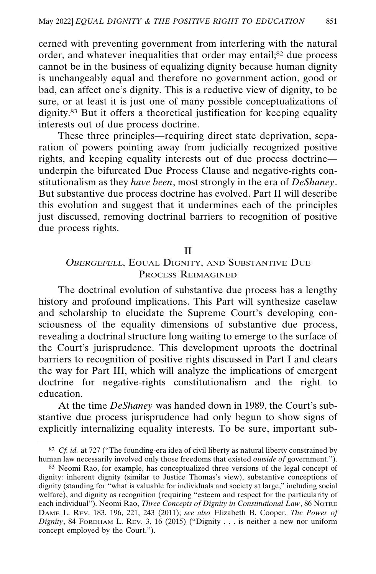cerned with preventing government from interfering with the natural order, and whatever inequalities that order may entail;82 due process cannot be in the business of equalizing dignity because human dignity is unchangeably equal and therefore no government action, good or bad, can affect one's dignity. This is a reductive view of dignity, to be sure, or at least it is just one of many possible conceptualizations of dignity.83 But it offers a theoretical justification for keeping equality interests out of due process doctrine.

These three principles—requiring direct state deprivation, separation of powers pointing away from judicially recognized positive rights, and keeping equality interests out of due process doctrine underpin the bifurcated Due Process Clause and negative-rights constitutionalism as they *have been*, most strongly in the era of *DeShaney*. But substantive due process doctrine has evolved. Part II will describe this evolution and suggest that it undermines each of the principles just discussed, removing doctrinal barriers to recognition of positive due process rights.

### II

## OBERGEFELL, EQUAL DIGNITY, AND SUBSTANTIVE DUE PROCESS REIMAGINED

The doctrinal evolution of substantive due process has a lengthy history and profound implications. This Part will synthesize caselaw and scholarship to elucidate the Supreme Court's developing consciousness of the equality dimensions of substantive due process, revealing a doctrinal structure long waiting to emerge to the surface of the Court's jurisprudence. This development uproots the doctrinal barriers to recognition of positive rights discussed in Part I and clears the way for Part III, which will analyze the implications of emergent doctrine for negative-rights constitutionalism and the right to education.

At the time *DeShaney* was handed down in 1989, the Court's substantive due process jurisprudence had only begun to show signs of explicitly internalizing equality interests. To be sure, important sub-

<sup>82</sup> *Cf. id.* at 727 ("The founding-era idea of civil liberty as natural liberty constrained by human law necessarily involved only those freedoms that existed *outside of* government.").

<sup>83</sup> Neomi Rao, for example, has conceptualized three versions of the legal concept of dignity: inherent dignity (similar to Justice Thomas's view), substantive conceptions of dignity (standing for "what is valuable for individuals and society at large," including social welfare), and dignity as recognition (requiring "esteem and respect for the particularity of each individual"). Neomi Rao, *Three Concepts of Dignity in Constitutional Law*, 86 NOTRE DAME L. REV. 183, 196, 221, 243 (2011); *see also* Elizabeth B. Cooper, *The Power of Dignity*, 84 FORDHAM L. REV. 3, 16 (2015) ("Dignity . . . is neither a new nor uniform concept employed by the Court.").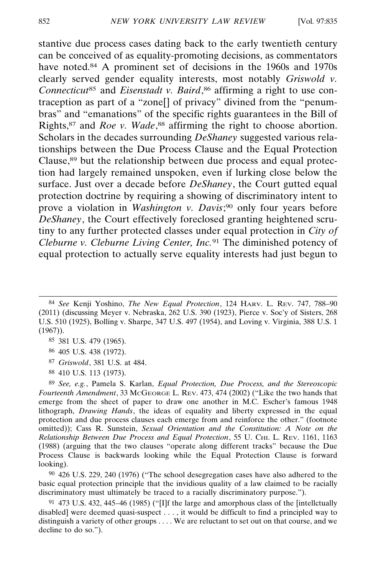stantive due process cases dating back to the early twentieth century can be conceived of as equality-promoting decisions, as commentators have noted.<sup>84</sup> A prominent set of decisions in the 1960s and 1970s clearly served gender equality interests, most notably *Griswold v. Connecticut*85 and *Eisenstadt v. Baird*, 86 affirming a right to use contraception as part of a "zone[] of privacy" divined from the "penumbras" and "emanations" of the specific rights guarantees in the Bill of Rights,87 and *Roe v. Wade*, 88 affirming the right to choose abortion. Scholars in the decades surrounding *DeShaney* suggested various relationships between the Due Process Clause and the Equal Protection Clause,89 but the relationship between due process and equal protection had largely remained unspoken, even if lurking close below the surface. Just over a decade before *DeShaney*, the Court gutted equal protection doctrine by requiring a showing of discriminatory intent to prove a violation in *Washington v. Davis*; 90 only four years before *DeShaney*, the Court effectively foreclosed granting heightened scrutiny to any further protected classes under equal protection in *City of Cleburne v. Cleburne Living Center, Inc.*91 The diminished potency of equal protection to actually serve equality interests had just begun to

- 87 *Griswold*, 381 U.S. at 484.
- 88 410 U.S. 113 (1973).

89 *See, e.g.*, Pamela S. Karlan, *Equal Protection, Due Process, and the Stereoscopic Fourteenth Amendment*, 33 MCGEORGE L. REV. 473, 474 (2002) ("Like the two hands that emerge from the sheet of paper to draw one another in M.C. Escher's famous 1948 lithograph, *Drawing Hands*, the ideas of equality and liberty expressed in the equal protection and due process clauses each emerge from and reinforce the other." (footnote omitted)); Cass R. Sunstein, *Sexual Orientation and the Constitution: A Note on the Relationship Between Due Process and Equal Protection*, 55 U. CHI. L. REV. 1161, 1163 (1988) (arguing that the two clauses "operate along different tracks" because the Due Process Clause is backwards looking while the Equal Protection Clause is forward looking).

90 426 U.S. 229, 240 (1976) ("The school desegregation cases have also adhered to the basic equal protection principle that the invidious quality of a law claimed to be racially discriminatory must ultimately be traced to a racially discriminatory purpose.").

91 473 U.S. 432, 445–46 (1985) ("[I]f the large and amorphous class of the [intellctually disabled] were deemed quasi-suspect . . . , it would be difficult to find a principled way to distinguish a variety of other groups . . . . We are reluctant to set out on that course, and we decline to do so.").

<sup>84</sup> *See* Kenji Yoshino, *The New Equal Protection*, 124 HARV. L. REV. 747, 788–90 (2011) (discussing Meyer v. Nebraska, 262 U.S. 390 (1923), Pierce v. Soc'y of Sisters, 268 U.S. 510 (1925), Bolling v. Sharpe, 347 U.S. 497 (1954), and Loving v. Virginia, 388 U.S. 1 (1967)).

<sup>85</sup> 381 U.S. 479 (1965).

<sup>86</sup> 405 U.S. 438 (1972).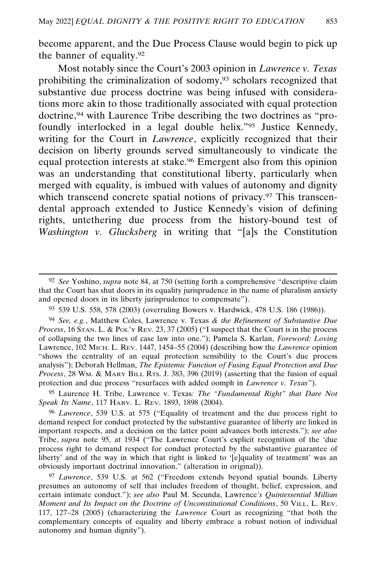become apparent, and the Due Process Clause would begin to pick up the banner of equality.92

Most notably since the Court's 2003 opinion in *Lawrence v. Texas* prohibiting the criminalization of sodomy,<sup>93</sup> scholars recognized that substantive due process doctrine was being infused with considerations more akin to those traditionally associated with equal protection doctrine,94 with Laurence Tribe describing the two doctrines as "profoundly interlocked in a legal double helix."95 Justice Kennedy, writing for the Court in *Lawrence*, explicitly recognized that their decision on liberty grounds served simultaneously to vindicate the equal protection interests at stake.96 Emergent also from this opinion was an understanding that constitutional liberty, particularly when merged with equality, is imbued with values of autonomy and dignity which transcend concrete spatial notions of privacy.<sup>97</sup> This transcendental approach extended to Justice Kennedy's vision of defining rights, untethering due process from the history-bound test of *Washington v. Glucksberg* in writing that "[a]s the Constitution

95 Laurence H. Tribe, Lawrence v. Texas*: The "Fundamental Right" that Dare Not Speak Its Name*, 117 HARV. L. REV. 1893, 1898 (2004).

96 *Lawrence*, 539 U.S. at 575 ("Equality of treatment and the due process right to demand respect for conduct protected by the substantive guarantee of liberty are linked in important respects, and a decision on the latter point advances both interests."); *see also* Tribe, *supra* note 95, at 1934 ("The Lawrence Court's explicit recognition of the 'due process right to demand respect for conduct protected by the substantive guarantee of liberty' and of the way in which that right is linked to '[e]quality of treatment' was an obviously important doctrinal innovation." (alteration in original)).

97 *Lawrence*, 539 U.S. at 562 ("Freedom extends beyond spatial bounds. Liberty presumes an autonomy of self that includes freedom of thought, belief, expression, and certain intimate conduct."); *see also* Paul M. Secunda, Lawrence*'s Quintessential Millian Moment and Its Impact on the Doctrine of Unconstitutional Conditions*, 50 VILL. L. REV. 117, 127–28 (2005) (characterizing the *Lawrence* Court as recognizing "that both the complementary concepts of equality and liberty embrace a robust notion of individual autonomy and human dignity").

<sup>92</sup> *See* Yoshino, *supra* note 84, at 750 (setting forth a comprehensive "descriptive claim that the Court has shut doors in its equality jurisprudence in the name of pluralism anxiety and opened doors in its liberty jurisprudence to compensate").

<sup>93</sup> 539 U.S. 558, 578 (2003) (overruling Bowers v. Hardwick, 478 U.S. 186 (1986)).

<sup>94</sup> *See, e.g.*, Matthew Coles, Lawrence v. Texas *& the Refinement of Substantive Due Process*, 16 STAN. L. & POL'Y REV. 23, 37 (2005) ("I suspect that the Court is in the process of collapsing the two lines of case law into one."); Pamela S. Karlan, *Foreword: Loving* Lawrence, 102 MICH. L. REV. 1447, 1454–55 (2004) (describing how the *Lawrence* opinion "shows the centrality of an equal protection sensibility to the Court's due process analysis"); Deborah Hellman, *The Epistemic Function of Fusing Equal Protection and Due Process*, 28 WM. & MARY BILL RTS. J. 383, 396 (2019) (asserting that the fusion of equal protection and due process "resurfaces with added oomph in *Lawrence v. Texas*").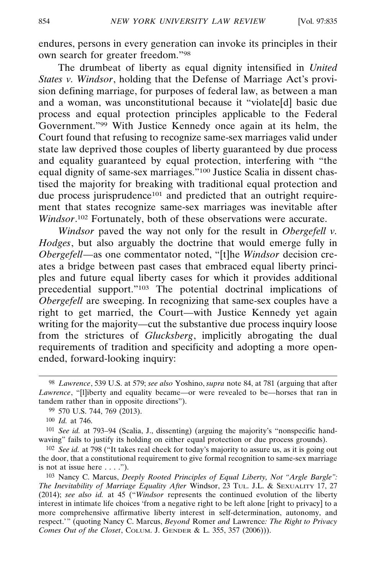endures, persons in every generation can invoke its principles in their own search for greater freedom."98

The drumbeat of liberty as equal dignity intensified in *United States v. Windsor*, holding that the Defense of Marriage Act's provision defining marriage, for purposes of federal law, as between a man and a woman, was unconstitutional because it "violate[d] basic due process and equal protection principles applicable to the Federal Government."99 With Justice Kennedy once again at its helm, the Court found that refusing to recognize same-sex marriages valid under state law deprived those couples of liberty guaranteed by due process and equality guaranteed by equal protection, interfering with "the equal dignity of same-sex marriages."100 Justice Scalia in dissent chastised the majority for breaking with traditional equal protection and due process jurisprudence<sup>101</sup> and predicted that an outright requirement that states recognize same-sex marriages was inevitable after *Windsor*. 102 Fortunately, both of these observations were accurate.

*Windsor* paved the way not only for the result in *Obergefell v. Hodges*, but also arguably the doctrine that would emerge fully in *Obergefell*—as one commentator noted, "[t]he *Windsor* decision creates a bridge between past cases that embraced equal liberty principles and future equal liberty cases for which it provides additional precedential support."103 The potential doctrinal implications of *Obergefell* are sweeping. In recognizing that same-sex couples have a right to get married, the Court—with Justice Kennedy yet again writing for the majority—cut the substantive due process inquiry loose from the strictures of *Glucksberg*, implicitly abrogating the dual requirements of tradition and specificity and adopting a more openended, forward-looking inquiry:

101 *See id.* at 793–94 (Scalia, J., dissenting) (arguing the majority's "nonspecific handwaving" fails to justify its holding on either equal protection or due process grounds).

102 *See id.* at 798 ("It takes real cheek for today's majority to assure us, as it is going out the door, that a constitutional requirement to give formal recognition to same-sex marriage is not at issue here  $\dots$ .").

103 Nancy C. Marcus, *Deeply Rooted Principles of Equal Liberty, Not "Argle Bargle": The Inevitability of Marriage Equality After* Windsor, 23 TUL. J.L. & SEXUALITY 17, 27 (2014); *see also id.* at 45 ("*Windsor* represents the continued evolution of the liberty interest in intimate life choices 'from a negative right to be left alone [right to privacy] to a more comprehensive affirmative liberty interest in self-determination, autonomy, and respect.'" (quoting Nancy C. Marcus, *Beyond* Romer *and* Lawrence*: The Right to Privacy Comes Out of the Closet*, COLUM. J. GENDER & L. 355, 357 (2006))).

<sup>98</sup> *Lawrence*, 539 U.S. at 579; *see also* Yoshino, *supra* note 84, at 781 (arguing that after *Lawrence*, "[l]iberty and equality became—or were revealed to be—horses that ran in tandem rather than in opposite directions").

<sup>99</sup> 570 U.S. 744, 769 (2013).

<sup>100</sup> *Id.* at 746.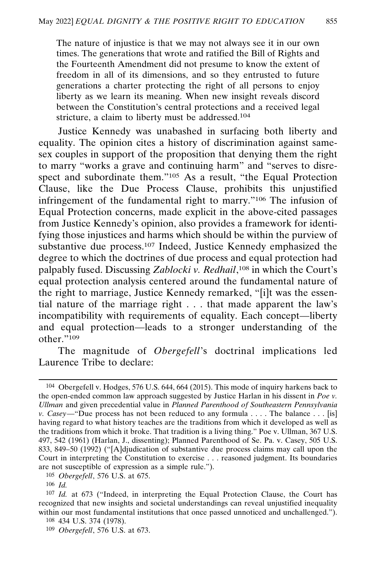The nature of injustice is that we may not always see it in our own times. The generations that wrote and ratified the Bill of Rights and the Fourteenth Amendment did not presume to know the extent of freedom in all of its dimensions, and so they entrusted to future generations a charter protecting the right of all persons to enjoy liberty as we learn its meaning. When new insight reveals discord between the Constitution's central protections and a received legal stricture, a claim to liberty must be addressed.104

Justice Kennedy was unabashed in surfacing both liberty and equality. The opinion cites a history of discrimination against samesex couples in support of the proposition that denying them the right to marry "works a grave and continuing harm" and "serves to disrespect and subordinate them."<sup>105</sup> As a result, "the Equal Protection" Clause, like the Due Process Clause, prohibits this unjustified infringement of the fundamental right to marry."106 The infusion of Equal Protection concerns, made explicit in the above-cited passages from Justice Kennedy's opinion, also provides a framework for identifying those injustices and harms which should be within the purview of substantive due process.107 Indeed, Justice Kennedy emphasized the degree to which the doctrines of due process and equal protection had palpably fused. Discussing *Zablocki v. Redhail*, 108 in which the Court's equal protection analysis centered around the fundamental nature of the right to marriage, Justice Kennedy remarked, "[i]t was the essential nature of the marriage right . . . that made apparent the law's incompatibility with requirements of equality. Each concept—liberty and equal protection—leads to a stronger understanding of the other."109

The magnitude of *Obergefell*'s doctrinal implications led Laurence Tribe to declare:

105 *Obergefell*, 576 U.S. at 675.

<sup>104</sup> Obergefell v. Hodges, 576 U.S. 644, 664 (2015). This mode of inquiry harkens back to the open-ended common law approach suggested by Justice Harlan in his dissent in *Poe v. Ullman* and given precedential value in *Planned Parenthood of Southeastern Pennsylvania v. Casey*—"Due process has not been reduced to any formula . . . . The balance . . . [is] having regard to what history teaches are the traditions from which it developed as well as the traditions from which it broke. That tradition is a living thing." Poe v. Ullman, 367 U.S. 497, 542 (1961) (Harlan, J., dissenting); Planned Parenthood of Se. Pa. v. Casey, 505 U.S. 833, 849–50 (1992) ("[A]djudication of substantive due process claims may call upon the Court in interpreting the Constitution to exercise . . . reasoned judgment. Its boundaries are not susceptible of expression as a simple rule.").

<sup>106</sup> *Id.*

<sup>107</sup> *Id.* at 673 ("Indeed, in interpreting the Equal Protection Clause, the Court has recognized that new insights and societal understandings can reveal unjustified inequality within our most fundamental institutions that once passed unnoticed and unchallenged.").

<sup>108</sup> 434 U.S. 374 (1978).

<sup>109</sup> *Obergefell*, 576 U.S. at 673.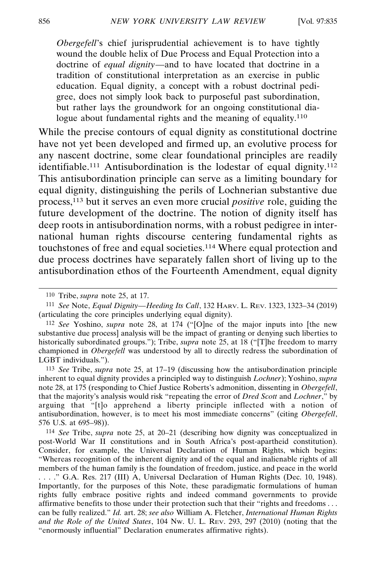*Obergefell*'s chief jurisprudential achievement is to have tightly wound the double helix of Due Process and Equal Protection into a doctrine of *equal dignity*—and to have located that doctrine in a tradition of constitutional interpretation as an exercise in public education. Equal dignity, a concept with a robust doctrinal pedigree, does not simply look back to purposeful past subordination, but rather lays the groundwork for an ongoing constitutional dialogue about fundamental rights and the meaning of equality.<sup>110</sup>

While the precise contours of equal dignity as constitutional doctrine have not yet been developed and firmed up, an evolutive process for any nascent doctrine, some clear foundational principles are readily identifiable.<sup>111</sup> Antisubordination is the lodestar of equal dignity.<sup>112</sup> This antisubordination principle can serve as a limiting boundary for equal dignity, distinguishing the perils of Lochnerian substantive due process,113 but it serves an even more crucial *positive* role, guiding the future development of the doctrine. The notion of dignity itself has deep roots in antisubordination norms, with a robust pedigree in international human rights discourse centering fundamental rights as touchstones of free and equal societies.114 Where equal protection and due process doctrines have separately fallen short of living up to the antisubordination ethos of the Fourteenth Amendment, equal dignity

113 *See* Tribe, *supra* note 25, at 17–19 (discussing how the antisubordination principle inherent to equal dignity provides a principled way to distinguish *Lochner*); Yoshino, *supra* note 28, at 175 (responding to Chief Justice Roberts's admonition, dissenting in *Obergefell*, that the majority's analysis would risk "repeating the error of *Dred Scott* and *Lochner*," by arguing that "[t]o apprehend a liberty principle inflected with a notion of antisubordination, however, is to meet his most immediate concerns" (citing *Obergefell*, 576 U.S. at 695–98)).

114 *See* Tribe, *supra* note 25, at 20–21 (describing how dignity was conceptualized in post-World War II constitutions and in South Africa's post-apartheid constitution). Consider, for example, the Universal Declaration of Human Rights, which begins: "Whereas recognition of the inherent dignity and of the equal and inalienable rights of all members of the human family is the foundation of freedom, justice, and peace in the world

. . . ." G.A. Res. 217 (III) A, Universal Declaration of Human Rights (Dec. 10, 1948). Importantly, for the purposes of this Note, these paradigmatic formulations of human rights fully embrace positive rights and indeed command governments to provide affirmative benefits to those under their protection such that their "rights and freedoms . . . can be fully realized." *Id.* art. 28; *see also* William A. Fletcher, *International Human Rights and the Role of the United States*, 104 NW. U. L. REV. 293, 297 (2010) (noting that the "enormously influential" Declaration enumerates affirmative rights).

<sup>110</sup> Tribe, *supra* note 25, at 17.

<sup>111</sup> *See* Note, *Equal Dignity—Heeding Its Call*, 132 HARV. L. REV. 1323, 1323–34 (2019) (articulating the core principles underlying equal dignity).

<sup>112</sup> *See* Yoshino, *supra* note 28, at 174 ("[O]ne of the major inputs into [the new substantive due process] analysis will be the impact of granting or denying such liberties to historically subordinated groups."); Tribe, *supra* note 25, at 18 ("[T]he freedom to marry championed in *Obergefell* was understood by all to directly redress the subordination of LGBT individuals.").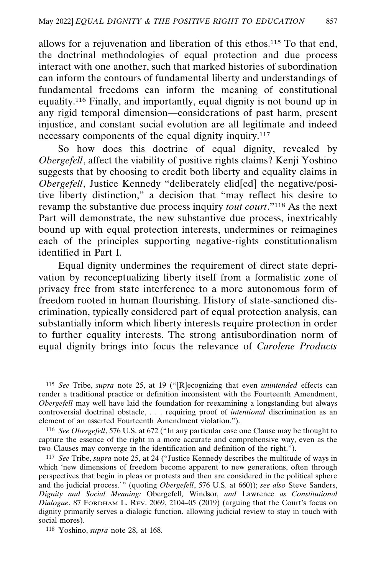allows for a rejuvenation and liberation of this ethos.<sup>115</sup> To that end, the doctrinal methodologies of equal protection and due process interact with one another, such that marked histories of subordination can inform the contours of fundamental liberty and understandings of fundamental freedoms can inform the meaning of constitutional equality.116 Finally, and importantly, equal dignity is not bound up in any rigid temporal dimension—considerations of past harm, present injustice, and constant social evolution are all legitimate and indeed necessary components of the equal dignity inquiry.117

So how does this doctrine of equal dignity, revealed by *Obergefell*, affect the viability of positive rights claims? Kenji Yoshino suggests that by choosing to credit both liberty and equality claims in *Obergefell*, Justice Kennedy "deliberately elid[ed] the negative/positive liberty distinction," a decision that "may reflect his desire to revamp the substantive due process inquiry *tout court*."118 As the next Part will demonstrate, the new substantive due process, inextricably bound up with equal protection interests, undermines or reimagines each of the principles supporting negative-rights constitutionalism identified in Part I.

Equal dignity undermines the requirement of direct state deprivation by reconceptualizing liberty itself from a formalistic zone of privacy free from state interference to a more autonomous form of freedom rooted in human flourishing. History of state-sanctioned discrimination, typically considered part of equal protection analysis, can substantially inform which liberty interests require protection in order to further equality interests. The strong antisubordination norm of equal dignity brings into focus the relevance of *Carolene Products*

<sup>115</sup> *See* Tribe, *supra* note 25, at 19 ("[R]ecognizing that even *unintended* effects can render a traditional practice or definition inconsistent with the Fourteenth Amendment, *Obergefell* may well have laid the foundation for reexamining a longstanding but always controversial doctrinal obstacle, . . . requiring proof of *intentional* discrimination as an element of an asserted Fourteenth Amendment violation.").

<sup>116</sup> *See Obergefell*, 576 U.S. at 672 ("In any particular case one Clause may be thought to capture the essence of the right in a more accurate and comprehensive way, even as the two Clauses may converge in the identification and definition of the right.").

<sup>117</sup> *See* Tribe, *supra* note 25, at 24 ("Justice Kennedy describes the multitude of ways in which 'new dimensions of freedom become apparent to new generations, often through perspectives that begin in pleas or protests and then are considered in the political sphere and the judicial process.'" (quoting *Obergefell*, 576 U.S. at 660)); *see also* Steve Sanders, *Dignity and Social Meaning:* Obergefell*,* Windsor*, and* Lawrence *as Constitutional Dialogue*, 87 FORDHAM L. REV. 2069, 2104–05 (2019) (arguing that the Court's focus on dignity primarily serves a dialogic function, allowing judicial review to stay in touch with social mores).

<sup>118</sup> Yoshino, *supra* note 28, at 168.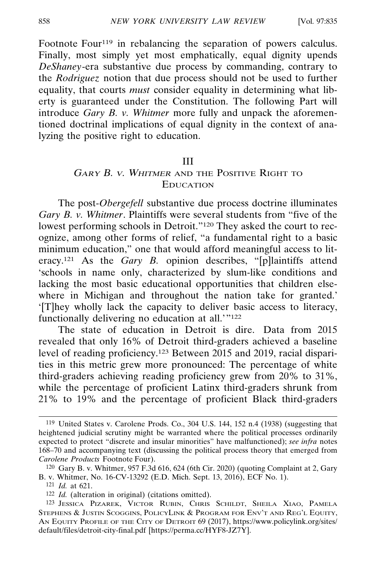Footnote Four<sup>119</sup> in rebalancing the separation of powers calculus. Finally, most simply yet most emphatically, equal dignity upends *DeShaney*-era substantive due process by commanding, contrary to the *Rodriguez* notion that due process should not be used to further equality, that courts *must* consider equality in determining what liberty is guaranteed under the Constitution. The following Part will introduce *Gary B. v. Whitmer* more fully and unpack the aforementioned doctrinal implications of equal dignity in the context of analyzing the positive right to education.

#### III

### GARY B. V. WHITMER AND THE POSITIVE RIGHT TO EDUCATION

The post-*Obergefell* substantive due process doctrine illuminates *Gary B. v. Whitmer*. Plaintiffs were several students from "five of the lowest performing schools in Detroit."120 They asked the court to recognize, among other forms of relief, "a fundamental right to a basic minimum education," one that would afford meaningful access to literacy.<sup>121</sup> As the *Gary B*. opinion describes, "[p]laintiffs attend 'schools in name only, characterized by slum-like conditions and lacking the most basic educational opportunities that children elsewhere in Michigan and throughout the nation take for granted.' '[T]hey wholly lack the capacity to deliver basic access to literacy, functionally delivering no education at all.'"122

The state of education in Detroit is dire. Data from 2015 revealed that only 16% of Detroit third-graders achieved a baseline level of reading proficiency.123 Between 2015 and 2019, racial disparities in this metric grew more pronounced: The percentage of white third-graders achieving reading proficiency grew from 20% to 31%, while the percentage of proficient Latinx third-graders shrunk from 21% to 19% and the percentage of proficient Black third-graders

<sup>119</sup> United States v. Carolene Prods. Co., 304 U.S. 144, 152 n.4 (1938) (suggesting that heightened judicial scrutiny might be warranted where the political processes ordinarily expected to protect "discrete and insular minorities" have malfunctioned); *see infra* notes 168–70 and accompanying text (discussing the political process theory that emerged from *Carolene Products* Footnote Four).

<sup>120</sup> Gary B. v. Whitmer, 957 F.3d 616, 624 (6th Cir. 2020) (quoting Complaint at 2, Gary B. v. Whitmer, No. 16-CV-13292 (E.D. Mich. Sept. 13, 2016), ECF No. 1).

<sup>121</sup> *Id.* at 621.

<sup>122</sup> *Id.* (alteration in original) (citations omitted).

<sup>123</sup> JESSICA PIZAREK, VICTOR RUBIN, CHRIS SCHILDT, SHEILA XIAO, PAMELA STEPHENS & JUSTIN SCOGGINS, POLICYLINK & PROGRAM FOR ENV'T AND REG'L EQUITY, AN EQUITY PROFILE OF THE CITY OF DETROIT 69 (2017), https://www.policylink.org/sites/ default/files/detroit-city-final.pdf [https://perma.cc/HYF8-JZ7Y].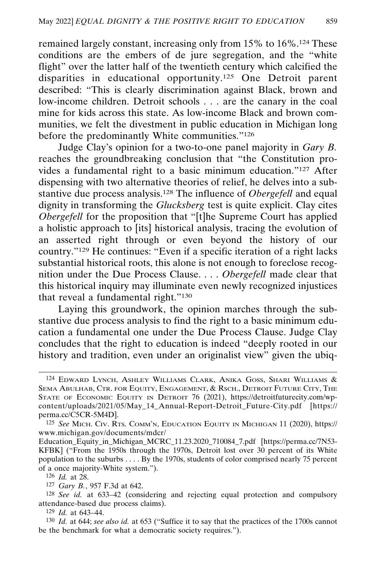remained largely constant, increasing only from 15% to 16%.124 These conditions are the embers of de jure segregation, and the "white flight" over the latter half of the twentieth century which calcified the disparities in educational opportunity.125 One Detroit parent described: "This is clearly discrimination against Black, brown and low-income children. Detroit schools . . . are the canary in the coal mine for kids across this state. As low-income Black and brown communities, we felt the divestment in public education in Michigan long before the predominantly White communities."126

Judge Clay's opinion for a two-to-one panel majority in *Gary B.* reaches the groundbreaking conclusion that "the Constitution provides a fundamental right to a basic minimum education."127 After dispensing with two alternative theories of relief, he delves into a substantive due process analysis.128 The influence of *Obergefell* and equal dignity in transforming the *Glucksberg* test is quite explicit. Clay cites *Obergefell* for the proposition that "[t]he Supreme Court has applied a holistic approach to [its] historical analysis, tracing the evolution of an asserted right through or even beyond the history of our country."129 He continues: "Even if a specific iteration of a right lacks substantial historical roots, this alone is not enough to foreclose recognition under the Due Process Clause. . . . *Obergefell* made clear that this historical inquiry may illuminate even newly recognized injustices that reveal a fundamental right."130

Laying this groundwork, the opinion marches through the substantive due process analysis to find the right to a basic minimum education a fundamental one under the Due Process Clause. Judge Clay concludes that the right to education is indeed "deeply rooted in our history and tradition, even under an originalist view" given the ubiq-

<sup>124</sup> EDWARD LYNCH, ASHLEY WILLIAMS CLARK, ANIKA GOSS, SHARI WILLIAMS & SEMA ABULHAB, CTR. FOR EQUITY, ENGAGEMENT, & RSCH., DETROIT FUTURE CITY, THE STATE OF ECONOMIC EQUITY IN DETROIT 76 (2021), https://detroitfuturecity.com/wpcontent/uploads/2021/05/May\_14\_Annual-Report-Detroit\_Future-City.pdf [https:// perma.cc/C5CR-5M4D].

<sup>125</sup> *See* MICH. CIV. RTS. COMM'N, EDUCATION EQUITY IN MICHIGAN 11 (2020), https:// www.michigan.gov/documents/mdcr/

Education\_Equity\_in\_Michigan\_MCRC\_11.23.2020\_710084\_7.pdf [https://perma.cc/7N53- KFBK] ("From the 1950s through the 1970s, Detroit lost over 30 percent of its White population to the suburbs . . . . By the 1970s, students of color comprised nearly 75 percent of a once majority-White system.").

<sup>126</sup> *Id.* at 28.

<sup>127</sup> *Gary B.*, 957 F.3d at 642.

<sup>128</sup> *See id.* at 633–42 (considering and rejecting equal protection and compulsory attendance-based due process claims).

<sup>129</sup> *Id.* at 643–44.

<sup>130</sup> *Id.* at 644; *see also id.* at 653 ("Suffice it to say that the practices of the 1700s cannot be the benchmark for what a democratic society requires.").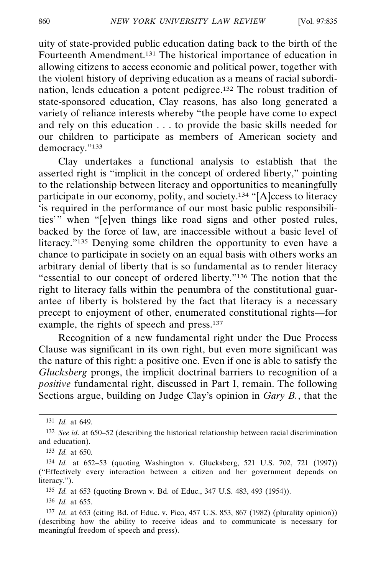uity of state-provided public education dating back to the birth of the Fourteenth Amendment.131 The historical importance of education in allowing citizens to access economic and political power, together with the violent history of depriving education as a means of racial subordination, lends education a potent pedigree.132 The robust tradition of state-sponsored education, Clay reasons, has also long generated a variety of reliance interests whereby "the people have come to expect and rely on this education . . . to provide the basic skills needed for our children to participate as members of American society and democracy."133

Clay undertakes a functional analysis to establish that the asserted right is "implicit in the concept of ordered liberty," pointing to the relationship between literacy and opportunities to meaningfully participate in our economy, polity, and society.<sup>134</sup> "[A]ccess to literacy 'is required in the performance of our most basic public responsibilities'" when "[e]ven things like road signs and other posted rules, backed by the force of law, are inaccessible without a basic level of literacy."135 Denying some children the opportunity to even have a chance to participate in society on an equal basis with others works an arbitrary denial of liberty that is so fundamental as to render literacy "essential to our concept of ordered liberty."136 The notion that the right to literacy falls within the penumbra of the constitutional guarantee of liberty is bolstered by the fact that literacy is a necessary precept to enjoyment of other, enumerated constitutional rights—for example, the rights of speech and press.137

Recognition of a new fundamental right under the Due Process Clause was significant in its own right, but even more significant was the nature of this right: a positive one. Even if one is able to satisfy the *Glucksberg* prongs, the implicit doctrinal barriers to recognition of a *positive* fundamental right, discussed in Part I, remain. The following Sections argue, building on Judge Clay's opinion in *Gary B.*, that the

135 *Id.* at 653 (quoting Brown v. Bd. of Educ., 347 U.S. 483, 493 (1954)).

136 *Id.* at 655.

<sup>131</sup> *Id.* at 649.

<sup>132</sup> *See id.* at 650–52 (describing the historical relationship between racial discrimination and education).

<sup>133</sup> *Id.* at 650.

<sup>134</sup> *Id.* at 652–53 (quoting Washington v. Glucksberg, 521 U.S. 702, 721 (1997)) ("Effectively every interaction between a citizen and her government depends on literacy.").

<sup>137</sup> *Id.* at 653 (citing Bd. of Educ. v. Pico, 457 U.S. 853, 867 (1982) (plurality opinion)) (describing how the ability to receive ideas and to communicate is necessary for meaningful freedom of speech and press).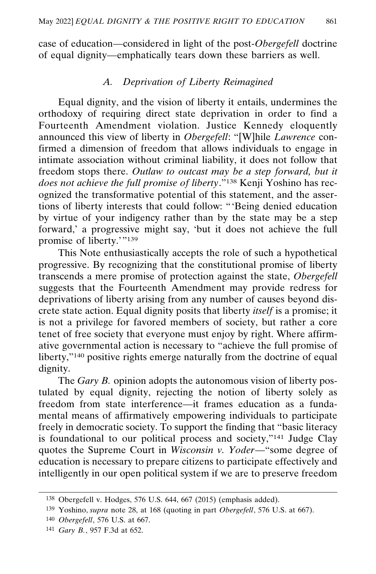case of education—considered in light of the post-*Obergefell* doctrine of equal dignity—emphatically tears down these barriers as well.

### *A. Deprivation of Liberty Reimagined*

Equal dignity, and the vision of liberty it entails, undermines the orthodoxy of requiring direct state deprivation in order to find a Fourteenth Amendment violation. Justice Kennedy eloquently announced this view of liberty in *Obergefell*: "[W]hile *Lawrence* confirmed a dimension of freedom that allows individuals to engage in intimate association without criminal liability, it does not follow that freedom stops there. *Outlaw to outcast may be a step forward, but it does not achieve the full promise of liberty*."138 Kenji Yoshino has recognized the transformative potential of this statement, and the assertions of liberty interests that could follow: "'Being denied education by virtue of your indigency rather than by the state may be a step forward,' a progressive might say, 'but it does not achieve the full promise of liberty.'"139

This Note enthusiastically accepts the role of such a hypothetical progressive. By recognizing that the constitutional promise of liberty transcends a mere promise of protection against the state, *Obergefell* suggests that the Fourteenth Amendment may provide redress for deprivations of liberty arising from any number of causes beyond discrete state action. Equal dignity posits that liberty *itself* is a promise; it is not a privilege for favored members of society, but rather a core tenet of free society that everyone must enjoy by right. Where affirmative governmental action is necessary to "achieve the full promise of liberty,"<sup>140</sup> positive rights emerge naturally from the doctrine of equal dignity.

The *Gary B.* opinion adopts the autonomous vision of liberty postulated by equal dignity, rejecting the notion of liberty solely as freedom from state interference—it frames education as a fundamental means of affirmatively empowering individuals to participate freely in democratic society. To support the finding that "basic literacy is foundational to our political process and society,"141 Judge Clay quotes the Supreme Court in *Wisconsin v. Yoder*—"some degree of education is necessary to prepare citizens to participate effectively and intelligently in our open political system if we are to preserve freedom

<sup>138</sup> Obergefell v. Hodges, 576 U.S. 644, 667 (2015) (emphasis added).

<sup>139</sup> Yoshino, *supra* note 28, at 168 (quoting in part *Obergefell*, 576 U.S. at 667).

<sup>140</sup> *Obergefell*, 576 U.S. at 667.

<sup>141</sup> *Gary B.*, 957 F.3d at 652.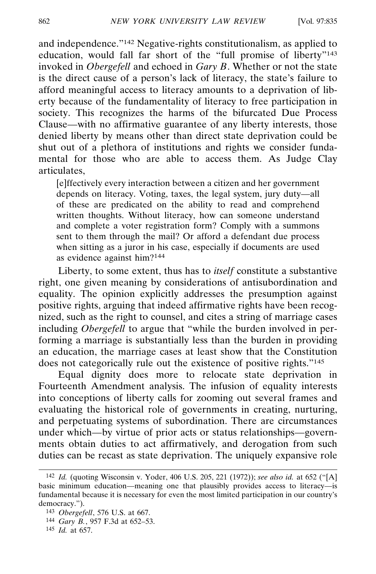and independence."142 Negative-rights constitutionalism, as applied to education, would fall far short of the "full promise of liberty"<sup>143</sup> invoked in *Obergefell* and echoed in *Gary B*. Whether or not the state is the direct cause of a person's lack of literacy, the state's failure to afford meaningful access to literacy amounts to a deprivation of liberty because of the fundamentality of literacy to free participation in society. This recognizes the harms of the bifurcated Due Process Clause—with no affirmative guarantee of any liberty interests, those denied liberty by means other than direct state deprivation could be shut out of a plethora of institutions and rights we consider fundamental for those who are able to access them. As Judge Clay articulates,

[e]ffectively every interaction between a citizen and her government depends on literacy. Voting, taxes, the legal system, jury duty—all of these are predicated on the ability to read and comprehend written thoughts. Without literacy, how can someone understand and complete a voter registration form? Comply with a summons sent to them through the mail? Or afford a defendant due process when sitting as a juror in his case, especially if documents are used as evidence against him?144

Liberty, to some extent, thus has to *itself* constitute a substantive right, one given meaning by considerations of antisubordination and equality. The opinion explicitly addresses the presumption against positive rights, arguing that indeed affirmative rights have been recognized, such as the right to counsel, and cites a string of marriage cases including *Obergefell* to argue that "while the burden involved in performing a marriage is substantially less than the burden in providing an education, the marriage cases at least show that the Constitution does not categorically rule out the existence of positive rights."145

Equal dignity does more to relocate state deprivation in Fourteenth Amendment analysis. The infusion of equality interests into conceptions of liberty calls for zooming out several frames and evaluating the historical role of governments in creating, nurturing, and perpetuating systems of subordination. There are circumstances under which—by virtue of prior acts or status relationships—governments obtain duties to act affirmatively, and derogation from such duties can be recast as state deprivation. The uniquely expansive role

<sup>142</sup> *Id.* (quoting Wisconsin v. Yoder, 406 U.S. 205, 221 (1972)); *see also id.* at 652 ("[A] basic minimum education—meaning one that plausibly provides access to literacy—is fundamental because it is necessary for even the most limited participation in our country's democracy.").

<sup>143</sup> *Obergefell*, 576 U.S. at 667.

<sup>144</sup> *Gary B.*, 957 F.3d at 652–53.

<sup>145</sup> *Id.* at 657.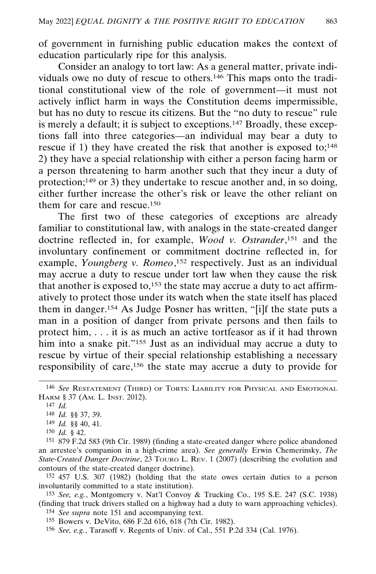of government in furnishing public education makes the context of education particularly ripe for this analysis.

Consider an analogy to tort law: As a general matter, private individuals owe no duty of rescue to others.146 This maps onto the traditional constitutional view of the role of government—it must not actively inflict harm in ways the Constitution deems impermissible, but has no duty to rescue its citizens. But the "no duty to rescue" rule is merely a default; it is subject to exceptions.147 Broadly, these exceptions fall into three categories—an individual may bear a duty to rescue if 1) they have created the risk that another is exposed to;<sup>148</sup> 2) they have a special relationship with either a person facing harm or a person threatening to harm another such that they incur a duty of protection;<sup>149</sup> or 3) they undertake to rescue another and, in so doing, either further increase the other's risk or leave the other reliant on them for care and rescue.150

The first two of these categories of exceptions are already familiar to constitutional law, with analogs in the state-created danger doctrine reflected in, for example, *Wood v. Ostrander*, 151 and the involuntary confinement or commitment doctrine reflected in, for example, *Youngberg v. Romeo*,<sup>152</sup> respectively. Just as an individual may accrue a duty to rescue under tort law when they cause the risk that another is exposed to, $153$  the state may accrue a duty to act affirmatively to protect those under its watch when the state itself has placed them in danger.154 As Judge Posner has written, "[i]f the state puts a man in a position of danger from private persons and then fails to protect him, . . . it is as much an active tortfeasor as if it had thrown him into a snake pit."<sup>155</sup> Just as an individual may accrue a duty to rescue by virtue of their special relationship establishing a necessary responsibility of care,156 the state may accrue a duty to provide for

152 457 U.S. 307 (1982) (holding that the state owes certain duties to a person involuntarily committed to a state institution).

153 *See, e.g.*, Montgomery v. Nat'l Convoy & Trucking Co., 195 S.E. 247 (S.C. 1938) (finding that truck drivers stalled on a highway had a duty to warn approaching vehicles).

154 *See supra* note 151 and accompanying text.

155 Bowers v. DeVito, 686 F.2d 616, 618 (7th Cir. 1982).

156 *See, e.g.*, Tarasoff v. Regents of Univ. of Cal., 551 P.2d 334 (Cal. 1976).

<sup>146</sup> *See* RESTATEMENT (THIRD) OF TORTS: LIABILITY FOR PHYSICAL AND EMOTIONAL HARM § 37 (AM. L. INST. 2012).

<sup>147</sup> *Id.*

<sup>148</sup> *Id.* §§ 37, 39.

<sup>149</sup> *Id.* §§ 40, 41.

<sup>150</sup> *Id.* § 42.

<sup>151</sup> 879 F.2d 583 (9th Cir. 1989) (finding a state-created danger where police abandoned an arrestee's companion in a high-crime area). *See generally* Erwin Chemerinsky, *The State-Created Danger Doctrine*, 23 TOURO L. REV. 1 (2007) (describing the evolution and contours of the state-created danger doctrine).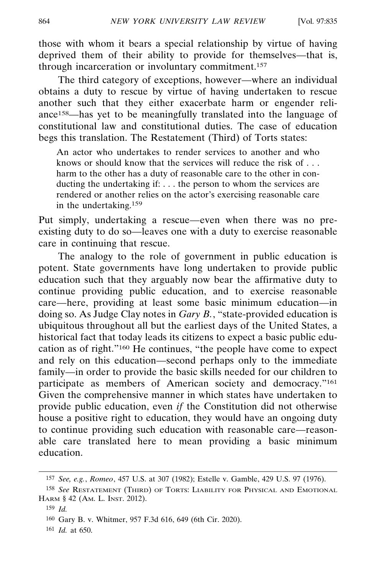those with whom it bears a special relationship by virtue of having deprived them of their ability to provide for themselves—that is, through incarceration or involuntary commitment.<sup>157</sup>

The third category of exceptions, however—where an individual obtains a duty to rescue by virtue of having undertaken to rescue another such that they either exacerbate harm or engender reliance158—has yet to be meaningfully translated into the language of constitutional law and constitutional duties. The case of education begs this translation. The Restatement (Third) of Torts states:

An actor who undertakes to render services to another and who knows or should know that the services will reduce the risk of . . . harm to the other has a duty of reasonable care to the other in conducting the undertaking if: . . . the person to whom the services are rendered or another relies on the actor's exercising reasonable care in the undertaking.159

Put simply, undertaking a rescue—even when there was no preexisting duty to do so—leaves one with a duty to exercise reasonable care in continuing that rescue.

The analogy to the role of government in public education is potent. State governments have long undertaken to provide public education such that they arguably now bear the affirmative duty to continue providing public education, and to exercise reasonable care—here, providing at least some basic minimum education—in doing so. As Judge Clay notes in *Gary B.*, "state-provided education is ubiquitous throughout all but the earliest days of the United States, a historical fact that today leads its citizens to expect a basic public education as of right."160 He continues, "the people have come to expect and rely on this education—second perhaps only to the immediate family—in order to provide the basic skills needed for our children to participate as members of American society and democracy."161 Given the comprehensive manner in which states have undertaken to provide public education, even *if* the Constitution did not otherwise house a positive right to education, they would have an ongoing duty to continue providing such education with reasonable care—reasonable care translated here to mean providing a basic minimum education.

<sup>157</sup> *See, e.g.*, *Romeo*, 457 U.S. at 307 (1982); Estelle v. Gamble, 429 U.S. 97 (1976).

<sup>158</sup> *See* RESTATEMENT (THIRD) OF TORTS: LIABILITY FOR PHYSICAL AND EMOTIONAL HARM § 42 (AM. L. INST. 2012).

<sup>159</sup> *Id.*

<sup>160</sup> Gary B. v. Whitmer, 957 F.3d 616, 649 (6th Cir. 2020).

<sup>161</sup> *Id.* at 650.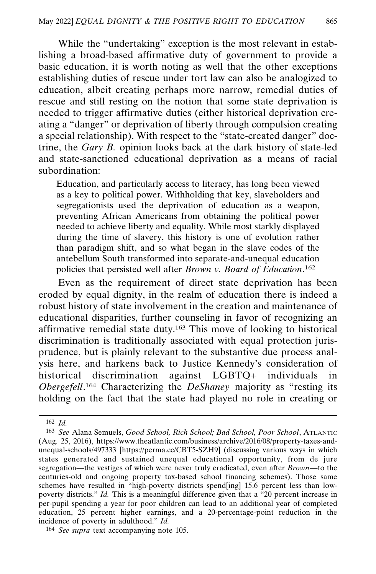While the "undertaking" exception is the most relevant in establishing a broad-based affirmative duty of government to provide a basic education, it is worth noting as well that the other exceptions establishing duties of rescue under tort law can also be analogized to education, albeit creating perhaps more narrow, remedial duties of rescue and still resting on the notion that some state deprivation is needed to trigger affirmative duties (either historical deprivation creating a "danger" or deprivation of liberty through compulsion creating a special relationship). With respect to the "state-created danger" doctrine, the *Gary B.* opinion looks back at the dark history of state-led and state-sanctioned educational deprivation as a means of racial subordination:

Education, and particularly access to literacy, has long been viewed as a key to political power. Withholding that key, slaveholders and segregationists used the deprivation of education as a weapon, preventing African Americans from obtaining the political power needed to achieve liberty and equality. While most starkly displayed during the time of slavery, this history is one of evolution rather than paradigm shift, and so what began in the slave codes of the antebellum South transformed into separate-and-unequal education policies that persisted well after *Brown v. Board of Education*. 162

Even as the requirement of direct state deprivation has been eroded by equal dignity, in the realm of education there is indeed a robust history of state involvement in the creation and maintenance of educational disparities, further counseling in favor of recognizing an affirmative remedial state duty.163 This move of looking to historical discrimination is traditionally associated with equal protection jurisprudence, but is plainly relevant to the substantive due process analysis here, and harkens back to Justice Kennedy's consideration of historical discrimination against LGBTQ+ individuals in *Obergefell*. 164 Characterizing the *DeShaney* majority as "resting its holding on the fact that the state had played no role in creating or

<sup>162</sup> *Id.*

<sup>163</sup> *See* Alana Semuels, *Good School, Rich School; Bad School, Poor School*, ATLANTIC (Aug. 25, 2016), https://www.theatlantic.com/business/archive/2016/08/property-taxes-andunequal-schools/497333 [https://perma.cc/CBT5-SZH9] (discussing various ways in which states generated and sustained unequal educational opportunity, from de jure segregation—the vestiges of which were never truly eradicated, even after *Brown*—to the centuries-old and ongoing property tax-based school financing schemes). Those same schemes have resulted in "high-poverty districts spend[ing] 15.6 percent less than lowpoverty districts." *Id.* This is a meaningful difference given that a "20 percent increase in per-pupil spending a year for poor children can lead to an additional year of completed education, 25 percent higher earnings, and a 20-percentage-point reduction in the incidence of poverty in adulthood." *Id.*

<sup>164</sup> *See supra* text accompanying note 105.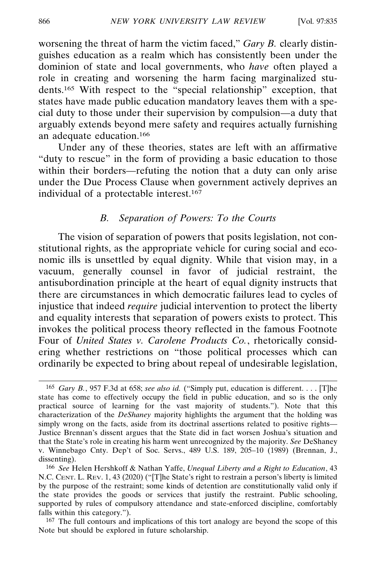worsening the threat of harm the victim faced," *Gary B.* clearly distinguishes education as a realm which has consistently been under the dominion of state and local governments, who *have* often played a role in creating and worsening the harm facing marginalized students.165 With respect to the "special relationship" exception, that states have made public education mandatory leaves them with a special duty to those under their supervision by compulsion—a duty that arguably extends beyond mere safety and requires actually furnishing an adequate education.166

Under any of these theories, states are left with an affirmative "duty to rescue" in the form of providing a basic education to those within their borders—refuting the notion that a duty can only arise under the Due Process Clause when government actively deprives an individual of a protectable interest.167

### *B. Separation of Powers: To the Courts*

The vision of separation of powers that posits legislation, not constitutional rights, as the appropriate vehicle for curing social and economic ills is unsettled by equal dignity. While that vision may, in a vacuum, generally counsel in favor of judicial restraint, the antisubordination principle at the heart of equal dignity instructs that there are circumstances in which democratic failures lead to cycles of injustice that indeed *require* judicial intervention to protect the liberty and equality interests that separation of powers exists to protect. This invokes the political process theory reflected in the famous Footnote Four of *United States v. Carolene Products Co.*, rhetorically considering whether restrictions on "those political processes which can ordinarily be expected to bring about repeal of undesirable legislation,

<sup>165</sup> *Gary B.*, 957 F.3d at 658; *see also id.* ("Simply put, education is different. . . . [T]he state has come to effectively occupy the field in public education, and so is the only practical source of learning for the vast majority of students."). Note that this characterization of the *DeShaney* majority highlights the argument that the holding was simply wrong on the facts, aside from its doctrinal assertions related to positive rights— Justice Brennan's dissent argues that the State did in fact worsen Joshua's situation and that the State's role in creating his harm went unrecognized by the majority. *See* DeShaney v. Winnebago Cnty. Dep't of Soc. Servs., 489 U.S. 189, 205–10 (1989) (Brennan, J., dissenting).

<sup>166</sup> *See* Helen Hershkoff & Nathan Yaffe, *Unequal Liberty and a Right to Education*, 43 N.C. CENT. L. REV. 1, 43 (2020) ("[T]he State's right to restrain a person's liberty is limited by the purpose of the restraint; some kinds of detention are constitutionally valid only if the state provides the goods or services that justify the restraint. Public schooling, supported by rules of compulsory attendance and state-enforced discipline, comfortably falls within this category.").

<sup>&</sup>lt;sup>167</sup> The full contours and implications of this tort analogy are beyond the scope of this Note but should be explored in future scholarship.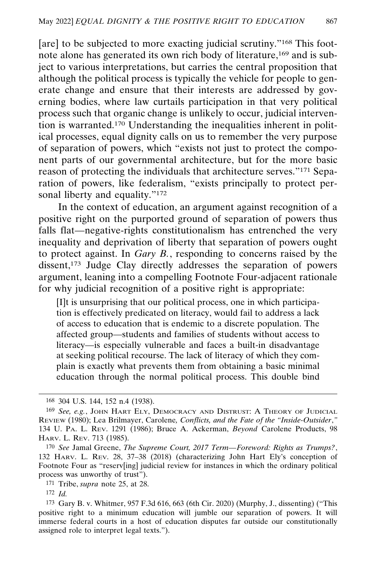[are] to be subjected to more exacting judicial scrutiny."<sup>168</sup> This footnote alone has generated its own rich body of literature,169 and is subject to various interpretations, but carries the central proposition that although the political process is typically the vehicle for people to generate change and ensure that their interests are addressed by governing bodies, where law curtails participation in that very political process such that organic change is unlikely to occur, judicial intervention is warranted.170 Understanding the inequalities inherent in political processes, equal dignity calls on us to remember the very purpose of separation of powers, which "exists not just to protect the component parts of our governmental architecture, but for the more basic reason of protecting the individuals that architecture serves."171 Separation of powers, like federalism, "exists principally to protect personal liberty and equality."<sup>172</sup>

In the context of education, an argument against recognition of a positive right on the purported ground of separation of powers thus falls flat—negative-rights constitutionalism has entrenched the very inequality and deprivation of liberty that separation of powers ought to protect against. In *Gary B.*, responding to concerns raised by the dissent,173 Judge Clay directly addresses the separation of powers argument, leaning into a compelling Footnote Four-adjacent rationale for why judicial recognition of a positive right is appropriate:

[I]t is unsurprising that our political process, one in which participation is effectively predicated on literacy, would fail to address a lack of access to education that is endemic to a discrete population. The affected group—students and families of students without access to literacy—is especially vulnerable and faces a built-in disadvantage at seeking political recourse. The lack of literacy of which they complain is exactly what prevents them from obtaining a basic minimal education through the normal political process. This double bind

<sup>168</sup> 304 U.S. 144, 152 n.4 (1938).

<sup>169</sup> *See, e.g.*, JOHN HART ELY, DEMOCRACY AND DISTRUST: A THEORY OF JUDICIAL REVIEW (1980); Lea Brilmayer, Carolene*, Conflicts, and the Fate of the "Inside-Outsider*,*"* 134 U. PA. L. REV. 1291 (1986); Bruce A. Ackerman, *Beyond* Carolene Products, 98 HARV. L. REV. 713 (1985).

<sup>170</sup> *See* Jamal Greene, *The Supreme Court, 2017 Term—Foreword: Rights as Trumps?*, 132 HARV. L. REV. 28, 37–38 (2018) (characterizing John Hart Ely's conception of Footnote Four as "reserv[ing] judicial review for instances in which the ordinary political process was unworthy of trust").

<sup>171</sup> Tribe, *supra* note 25, at 28.

<sup>172</sup> *Id.*

<sup>173</sup> Gary B. v. Whitmer, 957 F.3d 616, 663 (6th Cir. 2020) (Murphy, J., dissenting) ("This positive right to a minimum education will jumble our separation of powers. It will immerse federal courts in a host of education disputes far outside our constitutionally assigned role to interpret legal texts.").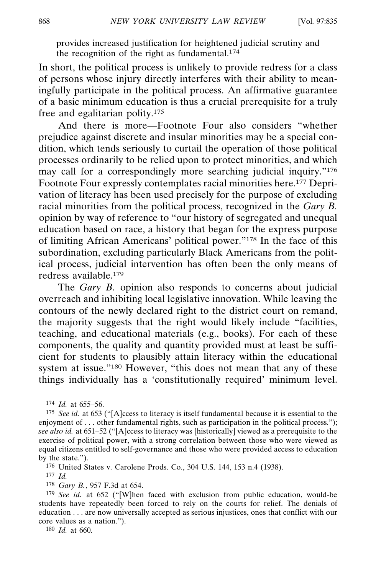provides increased justification for heightened judicial scrutiny and the recognition of the right as fundamental.<sup>174</sup>

In short, the political process is unlikely to provide redress for a class of persons whose injury directly interferes with their ability to meaningfully participate in the political process. An affirmative guarantee of a basic minimum education is thus a crucial prerequisite for a truly free and egalitarian polity.175

And there is more—Footnote Four also considers "whether prejudice against discrete and insular minorities may be a special condition, which tends seriously to curtail the operation of those political processes ordinarily to be relied upon to protect minorities, and which may call for a correspondingly more searching judicial inquiry."<sup>176</sup> Footnote Four expressly contemplates racial minorities here.177 Deprivation of literacy has been used precisely for the purpose of excluding racial minorities from the political process, recognized in the *Gary B.* opinion by way of reference to "our history of segregated and unequal education based on race, a history that began for the express purpose of limiting African Americans' political power."178 In the face of this subordination, excluding particularly Black Americans from the political process, judicial intervention has often been the only means of redress available.179

The *Gary B.* opinion also responds to concerns about judicial overreach and inhibiting local legislative innovation. While leaving the contours of the newly declared right to the district court on remand, the majority suggests that the right would likely include "facilities, teaching, and educational materials (e.g., books). For each of these components, the quality and quantity provided must at least be sufficient for students to plausibly attain literacy within the educational system at issue."180 However, "this does not mean that any of these things individually has a 'constitutionally required' minimum level.

<sup>174</sup> *Id.* at 655–56.

<sup>175</sup> *See id.* at 653 ("[A]ccess to literacy is itself fundamental because it is essential to the enjoyment of . . . other fundamental rights, such as participation in the political process."); *see also id.* at 651–52 ("[A]ccess to literacy was [historically] viewed as a prerequisite to the exercise of political power, with a strong correlation between those who were viewed as equal citizens entitled to self-governance and those who were provided access to education by the state.").

<sup>176</sup> United States v. Carolene Prods. Co., 304 U.S. 144, 153 n.4 (1938).

<sup>177</sup> *Id.*

<sup>178</sup> *Gary B.*, 957 F.3d at 654.

<sup>179</sup> *See id.* at 652 ("[W]hen faced with exclusion from public education, would-be students have repeatedly been forced to rely on the courts for relief. The denials of education . . . are now universally accepted as serious injustices, ones that conflict with our core values as a nation.").

<sup>180</sup> *Id.* at 660.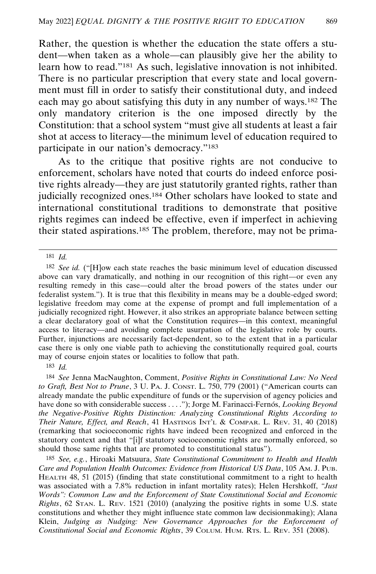Rather, the question is whether the education the state offers a student—when taken as a whole—can plausibly give her the ability to learn how to read."181 As such, legislative innovation is not inhibited. There is no particular prescription that every state and local government must fill in order to satisfy their constitutional duty, and indeed each may go about satisfying this duty in any number of ways.182 The only mandatory criterion is the one imposed directly by the Constitution: that a school system "must give all students at least a fair shot at access to literacy—the minimum level of education required to participate in our nation's democracy."183

As to the critique that positive rights are not conducive to enforcement, scholars have noted that courts do indeed enforce positive rights already—they are just statutorily granted rights, rather than judicially recognized ones.184 Other scholars have looked to state and international constitutional traditions to demonstrate that positive rights regimes can indeed be effective, even if imperfect in achieving their stated aspirations.185 The problem, therefore, may not be prima-

181 *Id.*

183 *Id.*

184 *See* Jenna MacNaughton, Comment, *Positive Rights in Constitutional Law: No Need to Graft, Best Not to Prune*, 3 U. PA. J. CONST. L. 750, 779 (2001) ("American courts can already mandate the public expenditure of funds or the supervision of agency policies and have done so with considerable success . . . . "); Jorge M. Farinacci-Fernós, *Looking Beyond the Negative-Positive Rights Distinction: Analyzing Constitutional Rights According to Their Nature, Effect, and Reach*, 41 HASTINGS INT'L & COMPAR. L. REV. 31, 40 (2018) (remarking that socioeconomic rights have indeed been recognized and enforced in the statutory context and that "[i]f statutory socioeconomic rights are normally enforced, so should those same rights that are promoted to constitutional status").

185 *See, e.g.*, Hiroaki Matsuura, *State Constitutional Commitment to Health and Health Care and Population Health Outcomes: Evidence from Historical US Data*, 105 AM. J. PUB. HEALTH 48, 51 (2015) (finding that state constitutional commitment to a right to health was associated with a 7.8% reduction in infant mortality rates); Helen Hershkoff, *"Just Words": Common Law and the Enforcement of State Constitutional Social and Economic Rights*, 62 STAN. L. REV. 1521 (2010) (analyzing the positive rights in some U.S. state constitutions and whether they might influence state common law decisionmaking); Alana Klein, *Judging as Nudging: New Governance Approaches for the Enforcement of Constitutional Social and Economic Rights*, 39 COLUM. HUM. RTS. L. REV. 351 (2008).

<sup>182</sup> *See id.* ("[H]ow each state reaches the basic minimum level of education discussed above can vary dramatically, and nothing in our recognition of this right—or even any resulting remedy in this case—could alter the broad powers of the states under our federalist system."). It is true that this flexibility in means may be a double-edged sword; legislative freedom may come at the expense of prompt and full implementation of a judicially recognized right. However, it also strikes an appropriate balance between setting a clear declaratory goal of what the Constitution requires—in this context, meaningful access to literacy—and avoiding complete usurpation of the legislative role by courts. Further, injunctions are necessarily fact-dependent, so to the extent that in a particular case there is only one viable path to achieving the constitutionally required goal, courts may of course enjoin states or localities to follow that path.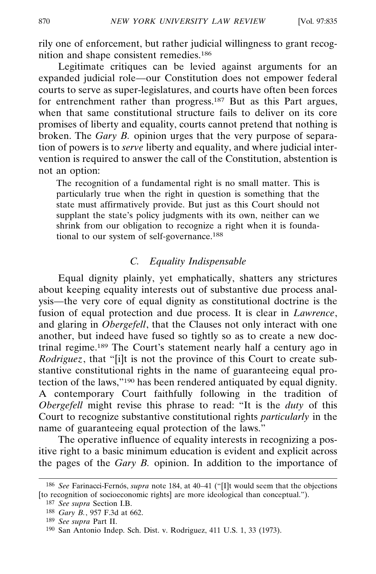rily one of enforcement, but rather judicial willingness to grant recognition and shape consistent remedies.186

Legitimate critiques can be levied against arguments for an expanded judicial role—our Constitution does not empower federal courts to serve as super-legislatures, and courts have often been forces for entrenchment rather than progress.<sup>187</sup> But as this Part argues, when that same constitutional structure fails to deliver on its core promises of liberty and equality, courts cannot pretend that nothing is broken. The *Gary B.* opinion urges that the very purpose of separation of powers is to *serve* liberty and equality, and where judicial intervention is required to answer the call of the Constitution, abstention is not an option:

The recognition of a fundamental right is no small matter. This is particularly true when the right in question is something that the state must affirmatively provide. But just as this Court should not supplant the state's policy judgments with its own, neither can we shrink from our obligation to recognize a right when it is foundational to our system of self-governance.188

# *C. Equality Indispensable*

Equal dignity plainly, yet emphatically, shatters any strictures about keeping equality interests out of substantive due process analysis—the very core of equal dignity as constitutional doctrine is the fusion of equal protection and due process. It is clear in *Lawrence*, and glaring in *Obergefell*, that the Clauses not only interact with one another, but indeed have fused so tightly so as to create a new doctrinal regime.189 The Court's statement nearly half a century ago in *Rodriguez*, that "[i]t is not the province of this Court to create substantive constitutional rights in the name of guaranteeing equal protection of the laws,"190 has been rendered antiquated by equal dignity. A contemporary Court faithfully following in the tradition of *Obergefell* might revise this phrase to read: "It is the *duty* of this Court to recognize substantive constitutional rights *particularly* in the name of guaranteeing equal protection of the laws."

The operative influence of equality interests in recognizing a positive right to a basic minimum education is evident and explicit across the pages of the *Gary B.* opinion. In addition to the importance of

<sup>&</sup>lt;sup>186</sup> See Farinacci-Fernós, *supra* note 184, at 40-41 ("[I]t would seem that the objections [to recognition of socioeconomic rights] are more ideological than conceptual.").

<sup>187</sup> *See supra* Section I.B. 188 *Gary B.*, 957 F.3d at 662.

<sup>189</sup> *See supra* Part II.

<sup>190</sup> San Antonio Indep. Sch. Dist. v. Rodriguez, 411 U.S. 1, 33 (1973).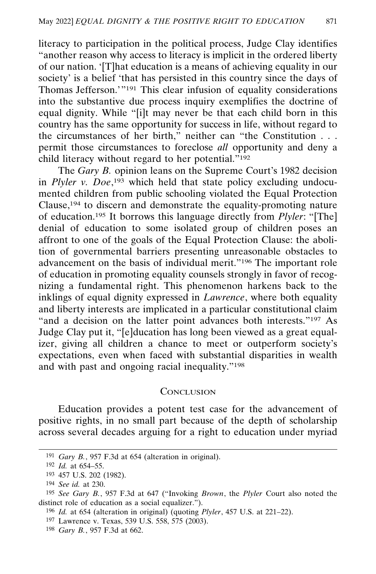literacy to participation in the political process, Judge Clay identifies "another reason why access to literacy is implicit in the ordered liberty of our nation. '[T]hat education is a means of achieving equality in our society' is a belief 'that has persisted in this country since the days of Thomas Jefferson.'"191 This clear infusion of equality considerations into the substantive due process inquiry exemplifies the doctrine of equal dignity. While "[i]t may never be that each child born in this country has the same opportunity for success in life, without regard to the circumstances of her birth," neither can "the Constitution . . . permit those circumstances to foreclose *all* opportunity and deny a child literacy without regard to her potential."<sup>192</sup>

The *Gary B.* opinion leans on the Supreme Court's 1982 decision in *Plyler v. Doe*,<sup>193</sup> which held that state policy excluding undocumented children from public schooling violated the Equal Protection Clause,194 to discern and demonstrate the equality-promoting nature of education.195 It borrows this language directly from *Plyler*: "[The] denial of education to some isolated group of children poses an affront to one of the goals of the Equal Protection Clause: the abolition of governmental barriers presenting unreasonable obstacles to advancement on the basis of individual merit."196 The important role of education in promoting equality counsels strongly in favor of recognizing a fundamental right. This phenomenon harkens back to the inklings of equal dignity expressed in *Lawrence*, where both equality and liberty interests are implicated in a particular constitutional claim "and a decision on the latter point advances both interests."<sup>197</sup> As Judge Clay put it, "[e]ducation has long been viewed as a great equalizer, giving all children a chance to meet or outperform society's expectations, even when faced with substantial disparities in wealth and with past and ongoing racial inequality."198

#### **CONCLUSION**

Education provides a potent test case for the advancement of positive rights, in no small part because of the depth of scholarship across several decades arguing for a right to education under myriad

198 *Gary B.*, 957 F.3d at 662.

<sup>191</sup> *Gary B.*, 957 F.3d at 654 (alteration in original).

<sup>192</sup> *Id.* at 654–55.

<sup>193</sup> 457 U.S. 202 (1982).

<sup>194</sup> *See id.* at 230.

<sup>195</sup> *See Gary B.*, 957 F.3d at 647 ("Invoking *Brown*, the *Plyler* Court also noted the distinct role of education as a social equalizer.").

<sup>196</sup> *Id.* at 654 (alteration in original) (quoting *Plyler*, 457 U.S. at 221–22).

<sup>197</sup> Lawrence v. Texas, 539 U.S. 558, 575 (2003).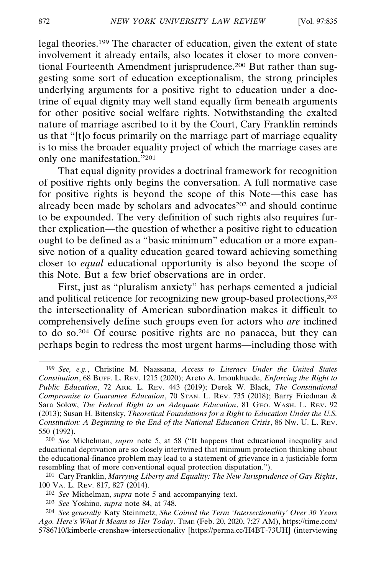legal theories.199 The character of education, given the extent of state involvement it already entails, also locates it closer to more conventional Fourteenth Amendment jurisprudence.<sup>200</sup> But rather than suggesting some sort of education exceptionalism, the strong principles underlying arguments for a positive right to education under a doctrine of equal dignity may well stand equally firm beneath arguments for other positive social welfare rights. Notwithstanding the exalted nature of marriage ascribed to it by the Court, Cary Franklin reminds us that "[t]o focus primarily on the marriage part of marriage equality is to miss the broader equality project of which the marriage cases are only one manifestation."201

That equal dignity provides a doctrinal framework for recognition of positive rights only begins the conversation. A full normative case for positive rights is beyond the scope of this Note—this case has already been made by scholars and advocates<sup>202</sup> and should continue to be expounded. The very definition of such rights also requires further explication—the question of whether a positive right to education ought to be defined as a "basic minimum" education or a more expansive notion of a quality education geared toward achieving something closer to *equal* educational opportunity is also beyond the scope of this Note. But a few brief observations are in order.

First, just as "pluralism anxiety" has perhaps cemented a judicial and political reticence for recognizing new group-based protections,203 the intersectionality of American subordination makes it difficult to comprehensively define such groups even for actors who *are* inclined to do so.204 Of course positive rights are no panacea, but they can perhaps begin to redress the most urgent harms—including those with

<sup>199</sup> *See, e.g.*, Christine M. Naassana, *Access to Literacy Under the United States Constitution*, 68 BUFF. L. REV. 1215 (2020); Areto A. Imoukhuede, *Enforcing the Right to Public Education*, 72 ARK. L. REV. 443 (2019); Derek W. Black, *The Constitutional Compromise to Guarantee Education*, 70 STAN. L. REV. 735 (2018); Barry Friedman & Sara Solow, *The Federal Right to an Adequate Education*, 81 GEO. WASH. L. REV. 92 (2013); Susan H. Bitensky, *Theoretical Foundations for a Right to Education Under the U.S. Constitution: A Beginning to the End of the National Education Crisis*, 86 NW. U. L. REV. 550 (1992).

<sup>200</sup> *See* Michelman, *supra* note 5, at 58 ("It happens that educational inequality and educational deprivation are so closely intertwined that minimum protection thinking about the educational-finance problem may lead to a statement of grievance in a justiciable form resembling that of more conventional equal protection disputation.").

<sup>201</sup> Cary Franklin, *Marrying Liberty and Equality: The New Jurisprudence of Gay Rights*, 100 VA. L. REV. 817, 827 (2014).

<sup>202</sup> *See* Michelman, *supra* note 5 and accompanying text.

<sup>203</sup> *See* Yoshino, *supra* note 84, at 748.

<sup>204</sup> *See generally* Katy Steinmetz, *She Coined the Term 'Intersectionality' Over 30 Years Ago. Here's What It Means to Her Today*, TIME (Feb. 20, 2020, 7:27 AM), https://time.com/ 5786710/kimberle-crenshaw-intersectionality [https://perma.cc/H4BT-73UH] (interviewing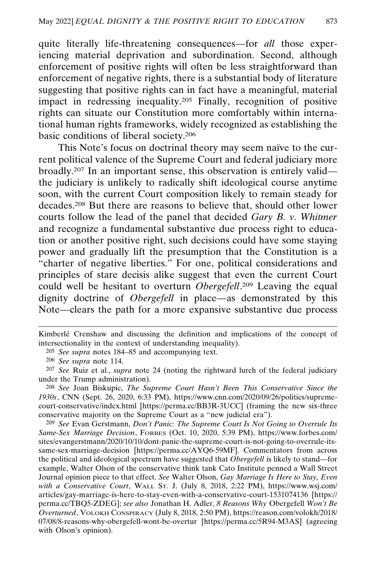quite literally life-threatening consequences—for *all* those experiencing material deprivation and subordination. Second, although enforcement of positive rights will often be less straightforward than enforcement of negative rights, there is a substantial body of literature suggesting that positive rights can in fact have a meaningful, material impact in redressing inequality.205 Finally, recognition of positive rights can situate our Constitution more comfortably within international human rights frameworks, widely recognized as establishing the basic conditions of liberal society.206

This Note's focus on doctrinal theory may seem naïve to the current political valence of the Supreme Court and federal judiciary more broadly.207 In an important sense, this observation is entirely valid the judiciary is unlikely to radically shift ideological course anytime soon, with the current Court composition likely to remain steady for decades.208 But there are reasons to believe that, should other lower courts follow the lead of the panel that decided *Gary B. v. Whitmer* and recognize a fundamental substantive due process right to education or another positive right, such decisions could have some staying power and gradually lift the presumption that the Constitution is a "charter of negative liberties." For one, political considerations and principles of stare decisis alike suggest that even the current Court could well be hesitant to overturn *Obergefell*. 209 Leaving the equal dignity doctrine of *Obergefell* in place—as demonstrated by this Note—clears the path for a more expansive substantive due process

205 *See supra* notes 184–85 and accompanying text.

209 *See* Evan Gerstmann, *Don't Panic: The Supreme Court Is Not Going to Overrule Its Same-Sex Marriage Decision*, FORBES (Oct. 10, 2020, 5:39 PM), https://www.forbes.com/ sites/evangerstmann/2020/10/10/dont-panic-the-supreme-court-is-not-going-to-overrule-itssame-sex-marriage-decision [https://perma.cc/AYQ6-59MF]. Commentators from across the political and ideological spectrum have suggested that *Obergefell* is likely to stand—for example, Walter Olson of the conservative think tank Cato Institute penned a Wall Street Journal opinion piece to that effect. *See* Walter Olson, *Gay Marriage Is Here to Stay, Even with a Conservative Court*, WALL ST. J. (July 8, 2018, 2:22 PM), https://www.wsj.com/ articles/gay-marriage-is-here-to-stay-even-with-a-conservative-court-1531074136 [https:// perma.cc/TBQ5-ZDEG]; *see also* Jonathan H. Adler, *8 Reasons Why* Obergefell *Won't Be Overturned*, VOLOKH CONSPIRACY (July 8, 2018, 2:50 PM), https://reason.com/volokh/2018/ 07/08/8-reasons-why-obergefell-wont-be-overtur [https://perma.cc/5R94-M3AS] (agreeing with Olson's opinion).

Kimberlé Crenshaw and discussing the definition and implications of the concept of intersectionality in the context of understanding inequality).

<sup>206</sup> *See supra* note 114.

<sup>207</sup> *See* Ruiz et al., *supra* note 24 (noting the rightward lurch of the federal judiciary under the Trump administration).

<sup>208</sup> *See* Joan Biskupic, *The Supreme Court Hasn't Been This Conservative Since the 1930s*, CNN (Sept. 26, 2020, 6:33 PM), https://www.cnn.com/2020/09/26/politics/supremecourt-conservative/index.html [https://perma.cc/BB3R-3UCC] (framing the new six-three conservative majority on the Supreme Court as a "new judicial era").